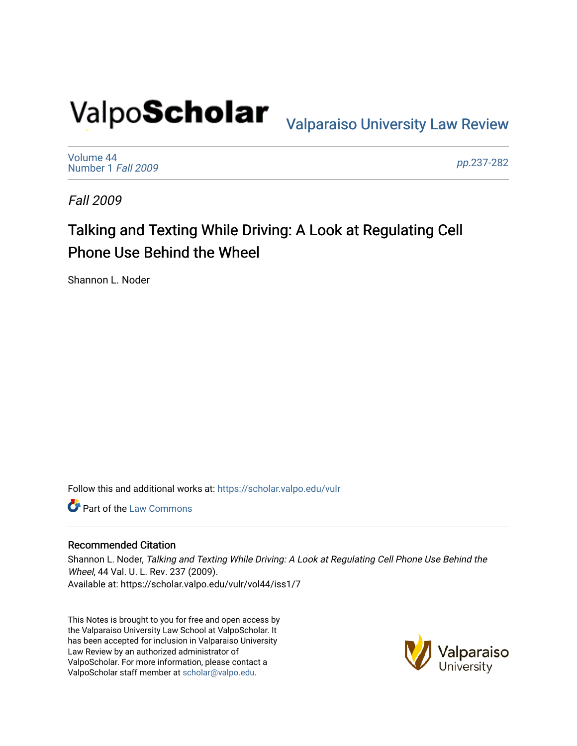# Valpo**Scholar** <sub>Valparaiso University Law Review</sub>

[Volume 44](https://scholar.valpo.edu/vulr/vol44) [Number 1](https://scholar.valpo.edu/vulr/vol44/iss1) Fall 2009

pp.[237-282](https://scholar.valpo.edu/vulr/vol44/iss1/7) 

Fall 2009

## Talking and Texting While Driving: A Look at Regulating Cell Phone Use Behind the Wheel

Shannon L. Noder

Follow this and additional works at: [https://scholar.valpo.edu/vulr](https://scholar.valpo.edu/vulr?utm_source=scholar.valpo.edu%2Fvulr%2Fvol44%2Fiss1%2F7&utm_medium=PDF&utm_campaign=PDFCoverPages)

**C** Part of the [Law Commons](http://network.bepress.com/hgg/discipline/578?utm_source=scholar.valpo.edu%2Fvulr%2Fvol44%2Fiss1%2F7&utm_medium=PDF&utm_campaign=PDFCoverPages)

#### Recommended Citation

Shannon L. Noder, Talking and Texting While Driving: A Look at Regulating Cell Phone Use Behind the Wheel, 44 Val. U. L. Rev. 237 (2009). Available at: https://scholar.valpo.edu/vulr/vol44/iss1/7

This Notes is brought to you for free and open access by the Valparaiso University Law School at ValpoScholar. It has been accepted for inclusion in Valparaiso University Law Review by an authorized administrator of ValpoScholar. For more information, please contact a ValpoScholar staff member at [scholar@valpo.edu](mailto:scholar@valpo.edu).

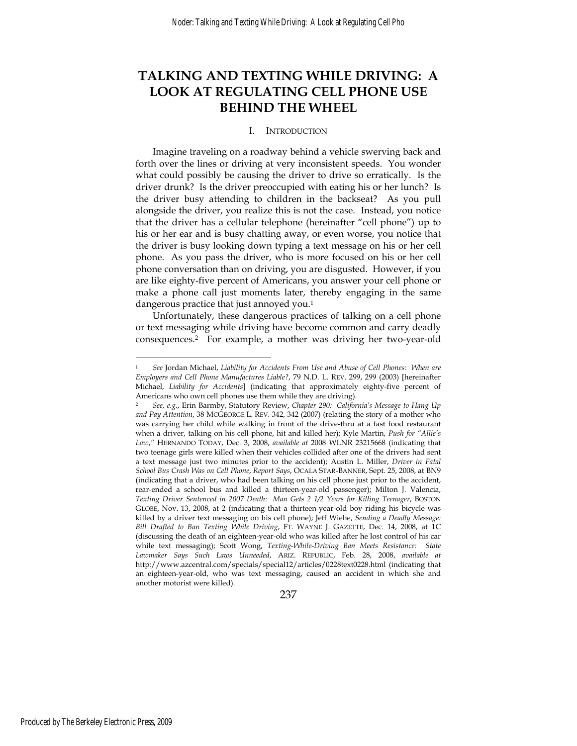### **TALKING AND TEXTING WHILE DRIVING: A LOOK AT REGULATING CELL PHONE USE BEHIND THE WHEEL**

#### I. INTRODUCTION

Imagine traveling on a roadway behind a vehicle swerving back and forth over the lines or driving at very inconsistent speeds. You wonder what could possibly be causing the driver to drive so erratically. Is the driver drunk? Is the driver preoccupied with eating his or her lunch? Is the driver busy attending to children in the backseat? As you pull alongside the driver, you realize this is not the case. Instead, you notice that the driver has a cellular telephone (hereinafter "cell phone") up to his or her ear and is busy chatting away, or even worse, you notice that the driver is busy looking down typing a text message on his or her cell phone. As you pass the driver, who is more focused on his or her cell phone conversation than on driving, you are disgusted. However, if you are like eighty-five percent of Americans, you answer your cell phone or make a phone call just moments later, thereby engaging in the same dangerous practice that just annoyed you.<sup>1</sup>

Unfortunately, these dangerous practices of talking on a cell phone or text messaging while driving have become common and carry deadly consequences.2 For example, a mother was driving her two-year-old

237

<sup>1</sup> *See* Jordan Michael, *Liability for Accidents From Use and Abuse of Cell Phones: When are Employers and Cell Phone Manufactures Liable?*, 79 N.D. L. REV. 299, 299 (2003) [hereinafter Michael, *Liability for Accidents*] (indicating that approximately eighty-five percent of Americans who own cell phones use them while they are driving).

<sup>2</sup> *See, e.g.*, Erin Barmby, Statutory Review, *Chapter 290: California's Message to Hang Up and Pay Attention*, 38 MCGEORGE L. REV. 342, 342 (2007) (relating the story of a mother who was carrying her child while walking in front of the drive-thru at a fast food restaurant when a driver, talking on his cell phone, hit and killed her); Kyle Martin, *Push for "Allie's Law*,*"* HERNANDO TODAY, Dec. 3, 2008, *available at* 2008 WLNR 23215668 (indicating that two teenage girls were killed when their vehicles collided after one of the drivers had sent a text message just two minutes prior to the accident); Austin L. Miller, *Driver in Fatal School Bus Crash Was on Cell Phone*, *Report Says*, OCALA STAR-BANNER, Sept. 25, 2008, at BN9 (indicating that a driver, who had been talking on his cell phone just prior to the accident, rear-ended a school bus and killed a thirteen-year-old passenger); Milton J. Valencia, *Texting Driver Sentenced in 2007 Death: Man Gets 2 1/2 Years for Killing Teenager*, BOSTON GLOBE, Nov. 13, 2008, at 2 (indicating that a thirteen-year-old boy riding his bicycle was killed by a driver text messaging on his cell phone); Jeff Wiehe, *Sending a Deadly Message: Bill Drafted to Ban Texting While Driving*, FT. WAYNE J. GAZETTE, Dec. 14, 2008, at 1C (discussing the death of an eighteen-year-old who was killed after he lost control of his car while text messaging); Scott Wong, *Texting-While-Driving Ban Meets Resistance: State Lawmaker Says Such Laws Unneeded*, ARIZ. REPUBLIC, Feb. 28, 2008, *available at*  http://www.azcentral.com/specials/special12/articles/0228text0228.html (indicating that an eighteen-year-old, who was text messaging, caused an accident in which she and another motorist were killed).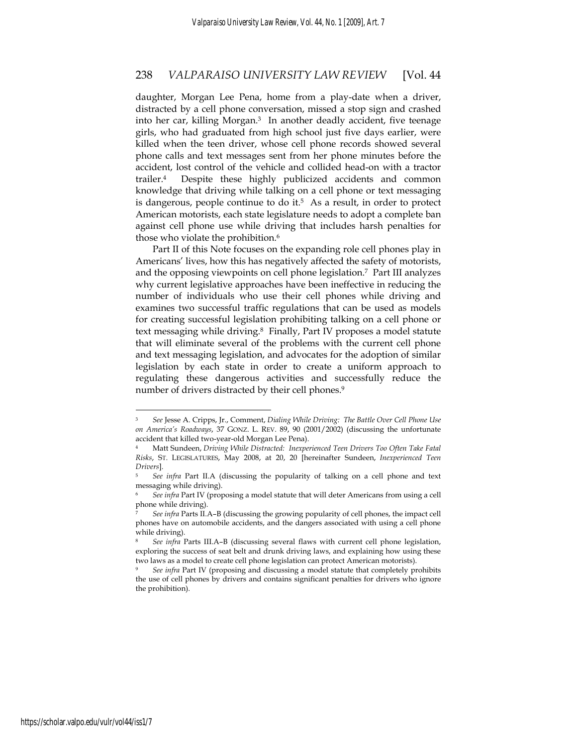daughter, Morgan Lee Pena, home from a play-date when a driver, distracted by a cell phone conversation, missed a stop sign and crashed into her car, killing Morgan.3 In another deadly accident, five teenage girls, who had graduated from high school just five days earlier, were killed when the teen driver, whose cell phone records showed several phone calls and text messages sent from her phone minutes before the accident, lost control of the vehicle and collided head-on with a tractor trailer.4 Despite these highly publicized accidents and common knowledge that driving while talking on a cell phone or text messaging is dangerous, people continue to do it. $5$  As a result, in order to protect American motorists, each state legislature needs to adopt a complete ban against cell phone use while driving that includes harsh penalties for those who violate the prohibition.<sup>6</sup>

Part II of this Note focuses on the expanding role cell phones play in Americans' lives, how this has negatively affected the safety of motorists, and the opposing viewpoints on cell phone legislation.7 Part III analyzes why current legislative approaches have been ineffective in reducing the number of individuals who use their cell phones while driving and examines two successful traffic regulations that can be used as models for creating successful legislation prohibiting talking on a cell phone or text messaging while driving.<sup>8</sup> Finally, Part IV proposes a model statute that will eliminate several of the problems with the current cell phone and text messaging legislation, and advocates for the adoption of similar legislation by each state in order to create a uniform approach to regulating these dangerous activities and successfully reduce the number of drivers distracted by their cell phones.<sup>9</sup>

<sup>3</sup> *See* Jesse A. Cripps, Jr., Comment, *Dialing While Driving: The Battle Over Cell Phone Use on America's Roadways*, 37 GONZ. L. REV. 89, 90 (2001/2002) (discussing the unfortunate accident that killed two-year-old Morgan Lee Pena).

<sup>4</sup> Matt Sundeen, *Driving While Distracted: Inexperienced Teen Drivers Too Often Take Fatal Risks*, ST. LEGISLATURES, May 2008, at 20, 20 [hereinafter Sundeen, *Inexperienced Teen Drivers*]. 5 *See infra* Part II.A (discussing the popularity of talking on a cell phone and text

messaging while driving).

<sup>6</sup> *See infra* Part IV (proposing a model statute that will deter Americans from using a cell phone while driving).

<sup>7</sup> *See infra* Parts II.A–B (discussing the growing popularity of cell phones, the impact cell phones have on automobile accidents, and the dangers associated with using a cell phone while driving).

<sup>8</sup> *See infra* Parts III.A–B (discussing several flaws with current cell phone legislation, exploring the success of seat belt and drunk driving laws, and explaining how using these two laws as a model to create cell phone legislation can protect American motorists).

<sup>9</sup> *See infra* Part IV (proposing and discussing a model statute that completely prohibits the use of cell phones by drivers and contains significant penalties for drivers who ignore the prohibition).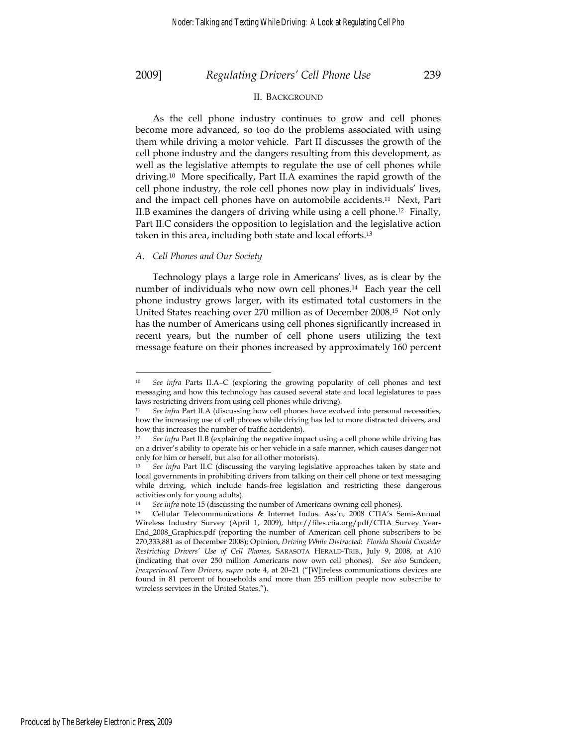$\overline{a}$ 

#### 2009] *Regulating Drivers' Cell Phone Use* 239

#### II. BACKGROUND

As the cell phone industry continues to grow and cell phones become more advanced, so too do the problems associated with using them while driving a motor vehicle. Part II discusses the growth of the cell phone industry and the dangers resulting from this development, as well as the legislative attempts to regulate the use of cell phones while driving.10 More specifically, Part II.A examines the rapid growth of the cell phone industry, the role cell phones now play in individuals' lives, and the impact cell phones have on automobile accidents.11 Next, Part II.B examines the dangers of driving while using a cell phone.12 Finally, Part II.C considers the opposition to legislation and the legislative action taken in this area, including both state and local efforts.13

#### *A. Cell Phones and Our Society*

Technology plays a large role in Americans' lives, as is clear by the number of individuals who now own cell phones.14 Each year the cell phone industry grows larger, with its estimated total customers in the United States reaching over 270 million as of December 2008.15 Not only has the number of Americans using cell phones significantly increased in recent years, but the number of cell phone users utilizing the text message feature on their phones increased by approximately 160 percent

<sup>10</sup> *See infra* Parts II.A–C (exploring the growing popularity of cell phones and text messaging and how this technology has caused several state and local legislatures to pass laws restricting drivers from using cell phones while driving).

<sup>11</sup> *See infra* Part II.A (discussing how cell phones have evolved into personal necessities, how the increasing use of cell phones while driving has led to more distracted drivers, and how this increases the number of traffic accidents).

<sup>&</sup>lt;sup>12</sup> *See infra* Part II.B (explaining the negative impact using a cell phone while driving has on a driver's ability to operate his or her vehicle in a safe manner, which causes danger not only for him or herself, but also for all other motorists).

<sup>13</sup> *See infra* Part II.C (discussing the varying legislative approaches taken by state and local governments in prohibiting drivers from talking on their cell phone or text messaging while driving, which include hands-free legislation and restricting these dangerous activities only for young adults).

<sup>&</sup>lt;sup>14</sup> *See infra* note 15 (discussing the number of Americans owning cell phones).<br><sup>15</sup> Cellular Telecommunications & Internet Indus. Ass'n, 2008 CTIA's Semi-Annual Wireless Industry Survey (April 1, 2009), http://files.ctia.org/pdf/CTIA\_Survey\_Year-End\_2008\_Graphics.pdf (reporting the number of American cell phone subscribers to be 270,333,881 as of December 2008); Opinion, *Driving While Distracted*: *Florida Should Consider Restricting Drivers' Use of Cell Phones*, SARASOTA HERALD-TRIB., July 9, 2008, at A10 (indicating that over 250 million Americans now own cell phones). *See also* Sundeen, *Inexperienced Teen Drivers*, *supra* note 4, at 20–21 ("[W]ireless communications devices are found in 81 percent of households and more than 255 million people now subscribe to wireless services in the United States.").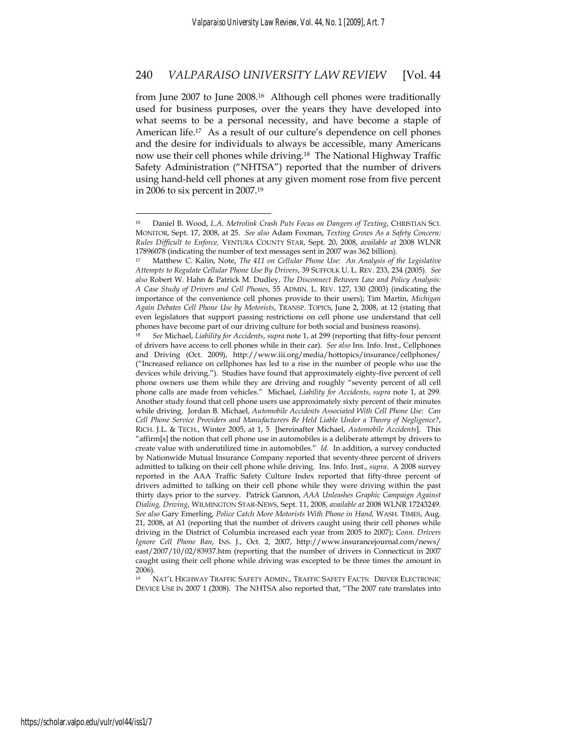from June 2007 to June 2008.16 Although cell phones were traditionally used for business purposes, over the years they have developed into what seems to be a personal necessity, and have become a staple of American life.17 As a result of our culture's dependence on cell phones and the desire for individuals to always be accessible, many Americans now use their cell phones while driving.18 The National Highway Traffic Safety Administration ("NHTSA") reported that the number of drivers using hand-held cell phones at any given moment rose from five percent in 2006 to six percent in 2007.19

19 NAT'L HIGHWAY TRAFFIC SAFETY ADMIN., TRAFFIC SAFETY FACTS: DRIVER ELECTRONIC DEVICE USE IN 2007 1 (2008). The NHTSA also reported that, "The 2007 rate translates into

<sup>16</sup> Daniel B. Wood, *L.A. Metrolink Crash Puts Focus on Dangers of Texting*, CHRISTIAN SCI. MONITOR, Sept. 17, 2008, at 25. *See also* Adam Foxman, *Texting Grows As a Safety Concern: Rules Difficult to Enforce,* VENTURA COUNTY STAR, Sept. 20, 2008, *available at* 2008 WLNR 17896078 (indicating the number of text messages sent in 2007 was 362 billion).

<sup>17</sup> Matthew C. Kalin, Note, *The 411 on Cellular Phone Use: An Analysis of the Legislative Attempts to Regulate Cellular Phone Use By Drivers*, 39 SUFFOLK U. L. REV. 233, 234 (2005). *See also* Robert W. Hahn & Patrick M. Dudley, *The Disconnect Between Law and Policy Analysis: A Case Study of Drivers and Cell Phones*, 55 ADMIN. L. REV. 127, 130 (2003) (indicating the importance of the convenience cell phones provide to their users); Tim Martin, *Michigan Again Debates Cell Phone Use by Motorists*, TRANSP. TOPICS, June 2, 2008, at 12 (stating that even legislators that support passing restrictions on cell phone use understand that cell phones have become part of our driving culture for both social and business reasons).

<sup>18</sup> *See* Michael, *Liability for Accidents*, *supra* note 1, at 299 (reporting that fifty-four percent of drivers have access to cell phones while in their car). *See also* Ins. Info. Inst., Cellphones and Driving (Oct. 2009), http://www.iii.org/media/hottopics/insurance/cellphones/ ("Increased reliance on cellphones has led to a rise in the number of people who use the devices while driving."). Studies have found that approximately eighty-five percent of cell phone owners use them while they are driving and roughly "seventy percent of all cell phone calls are made from vehicles." Michael, *Liability for Accidents*, *supra* note 1, at 299. Another study found that cell phone users use approximately sixty percent of their minutes while driving. Jordan B. Michael, *Automobile Accidents Associated With Cell Phone Use: Can Cell Phone Service Providers and Manufacturers Be Held Liable Under a Theory of Negligence?*, RICH. J.L. & TECH., Winter 2005, at 1, 5 [hereinafter Michael, *Automobile Accidents*]. This "affirm[s] the notion that cell phone use in automobiles is a deliberate attempt by drivers to create value with underutilized time in automobiles." *Id.* In addition, a survey conducted by Nationwide Mutual Insurance Company reported that seventy-three percent of drivers admitted to talking on their cell phone while driving. Ins. Info. Inst., *supra*. A 2008 survey reported in the AAA Traffic Safety Culture Index reported that fifty-three percent of drivers admitted to talking on their cell phone while they were driving within the past thirty days prior to the survey. Patrick Gannon, *AAA Unleashes Graphic Campaign Against Dialing, Driving*, WILMINGTON STAR-NEWS, Sept. 11, 2008, *available at* 2008 WLNR 17243249. *See also* Gary Emerling, *Police Catch More Motorists With Phone in Hand,* WASH. TIMES, Aug. 21, 2008, at A1 (reporting that the number of drivers caught using their cell phones while driving in the District of Columbia increased each year from 2005 to 2007); *Conn. Drivers Ignore Cell Phone Ban*, INS. J., Oct. 2, 2007, http://www.insurancejournal.com/news/ east/2007/10/02/83937.htm (reporting that the number of drivers in Connecticut in 2007 caught using their cell phone while driving was excepted to be three times the amount in 2006).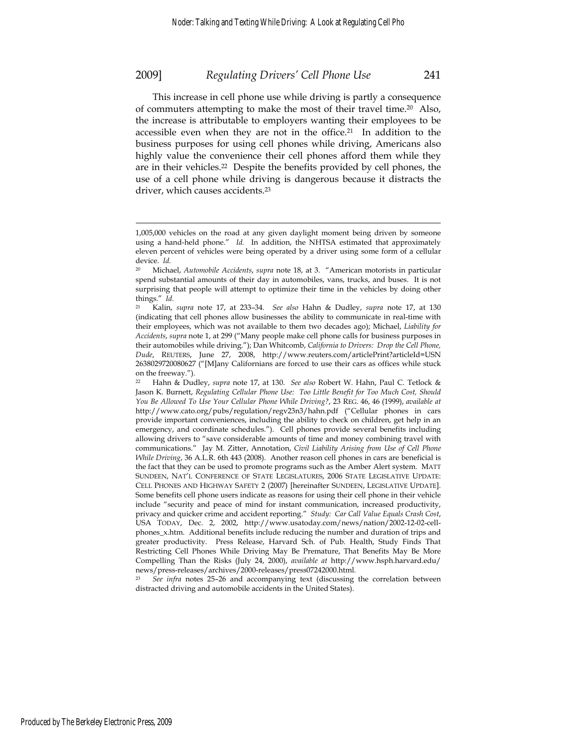This increase in cell phone use while driving is partly a consequence of commuters attempting to make the most of their travel time.<sup>20</sup> Also, the increase is attributable to employers wanting their employees to be accessible even when they are not in the office.<sup>21</sup> In addition to the business purposes for using cell phones while driving, Americans also highly value the convenience their cell phones afford them while they are in their vehicles.22 Despite the benefits provided by cell phones, the use of a cell phone while driving is dangerous because it distracts the driver, which causes accidents.<sup>23</sup>

<sup>23</sup> *See infra* notes 25–26 and accompanying text (discussing the correlation between distracted driving and automobile accidents in the United States).

<sup>1,005,000</sup> vehicles on the road at any given daylight moment being driven by someone using a hand-held phone." *Id.* In addition, the NHTSA estimated that approximately eleven percent of vehicles were being operated by a driver using some form of a cellular device. *Id.*

<sup>20</sup> Michael, *Automobile Accidents*, *supra* note 18, at 3. "American motorists in particular spend substantial amounts of their day in automobiles, vans, trucks, and buses. It is not surprising that people will attempt to optimize their time in the vehicles by doing other things." *Id.*

<sup>21</sup> Kalin, *supra* note 17, at 233–34. *See also* Hahn & Dudley, *supra* note 17, at 130 (indicating that cell phones allow businesses the ability to communicate in real-time with their employees, which was not available to them two decades ago); Michael, *Liability for Accidents*, *supra* note 1, at 299 ("Many people make cell phone calls for business purposes in their automobiles while driving."); Dan Whitcomb, *California to Drivers: Drop the Cell Phone, Dude*, REUTERS, June 27, 2008, http://www.reuters.com/articlePrint?articleId=USN 2638029720080627 ("[M]any Californians are forced to use their cars as offices while stuck on the freeway.").

<sup>22</sup> Hahn & Dudley, *supra* note 17, at 130. *See also* Robert W. Hahn, Paul C. Tetlock & Jason K. Burnett, *Regulating Cellular Phone Use: Too Little Benefit for Too Much Cost, Should You Be Allowed To Use Your Cellular Phone While Driving?*, 23 REG. 46, 46 (1999), *available at*  http://www.cato.org/pubs/regulation/regv23n3/hahn.pdf ("Cellular phones in cars provide important conveniences, including the ability to check on children, get help in an emergency, and coordinate schedules."). Cell phones provide several benefits including allowing drivers to "save considerable amounts of time and money combining travel with communications." Jay M. Zitter, Annotation, *Civil Liability Arising from Use of Cell Phone While Driving*, 36 A.L.R. 6th 443 (2008). Another reason cell phones in cars are beneficial is the fact that they can be used to promote programs such as the Amber Alert system. MATT SUNDEEN, NAT'L CONFERENCE OF STATE LEGISLATURES, 2006 STATE LEGISLATIVE UPDATE: CELL PHONES AND HIGHWAY SAFETY 2 (2007) [hereinafter SUNDEEN, LEGISLATIVE UPDATE]. Some benefits cell phone users indicate as reasons for using their cell phone in their vehicle include "security and peace of mind for instant communication, increased productivity, privacy and quicker crime and accident reporting." *Study: Car Call Value Equals Crash Cost*, USA TODAY, Dec. 2, 2002, http://www.usatoday.com/news/nation/2002-12-02-cellphones\_x.htm. Additional benefits include reducing the number and duration of trips and greater productivity. Press Release, Harvard Sch. of Pub. Health, Study Finds That Restricting Cell Phones While Driving May Be Premature, That Benefits May Be More Compelling Than the Risks (July 24, 2000), *available at* http://www.hsph.harvard.edu/ news/press-releases/archives/2000-releases/press07242000.html*.*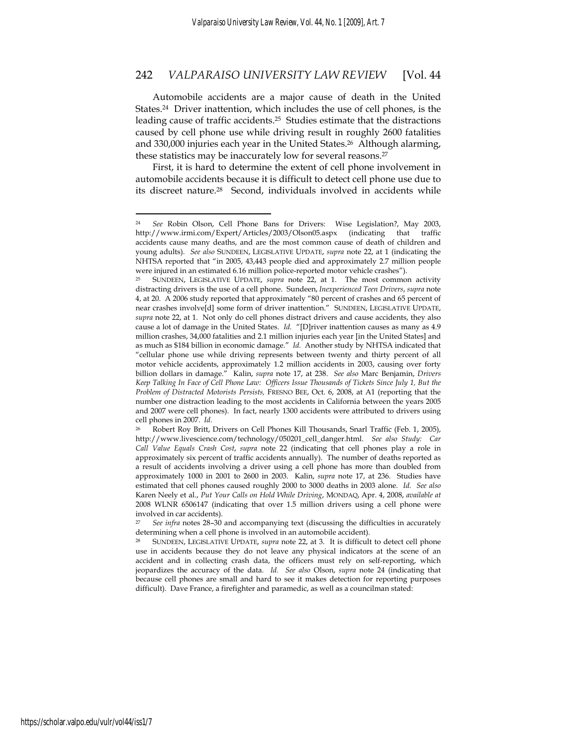Automobile accidents are a major cause of death in the United States.24 Driver inattention, which includes the use of cell phones, is the leading cause of traffic accidents.25 Studies estimate that the distractions caused by cell phone use while driving result in roughly 2600 fatalities and 330,000 injuries each year in the United States.<sup>26</sup> Although alarming, these statistics may be inaccurately low for several reasons.27

First, it is hard to determine the extent of cell phone involvement in automobile accidents because it is difficult to detect cell phone use due to its discreet nature.28 Second, individuals involved in accidents while

See Robin Olson, Cell Phone Bans for Drivers: Wise Legislation?, May 2003, http://www.irmi.com/Expert/Articles/2003/Olson05.aspx (indicating that traffic accidents cause many deaths, and are the most common cause of death of children and young adults). *See also* SUNDEEN, LEGISLATIVE UPDATE, *supra* note 22, at 1 (indicating the NHTSA reported that "in 2005, 43,443 people died and approximately 2.7 million people were injured in an estimated 6.16 million police-reported motor vehicle crashes").

<sup>25</sup> SUNDEEN, LEGISLATIVE UPDATE, *supra* note 22, at 1. The most common activity distracting drivers is the use of a cell phone. Sundeen, *Inexperienced Teen Drivers*, *supra* note 4, at 20. A 2006 study reported that approximately "80 percent of crashes and 65 percent of near crashes involve[d] some form of driver inattention." SUNDEEN, LEGISLATIVE UPDATE, *supra* note 22, at 1. Not only do cell phones distract drivers and cause accidents, they also cause a lot of damage in the United States. *Id.* "[D]river inattention causes as many as 4.9 million crashes, 34,000 fatalities and 2.1 million injuries each year [in the United States] and as much as \$184 billion in economic damage." *Id.* Another study by NHTSA indicated that "cellular phone use while driving represents between twenty and thirty percent of all motor vehicle accidents, approximately 1.2 million accidents in 2003, causing over forty billion dollars in damage." Kalin, *supra* note 17, at 238. *See also* Marc Benjamin, *Drivers Keep Talking In Face of Cell Phone Law: Officers Issue Thousands of Tickets Since July 1, But the Problem of Distracted Motorists Persists,* FRESNO BEE, Oct. 6, 2008, at A1 (reporting that the number one distraction leading to the most accidents in California between the years 2005 and 2007 were cell phones). In fact, nearly 1300 accidents were attributed to drivers using cell phones in 2007. *Id.* 

<sup>26</sup> Robert Roy Britt, Drivers on Cell Phones Kill Thousands, Snarl Traffic (Feb. 1, 2005), http://www.livescience.com/technology/050201\_cell\_danger.html. *See also Study: Car Call Value Equals Crash Cost*, *supra* note 22 (indicating that cell phones play a role in approximately six percent of traffic accidents annually). The number of deaths reported as a result of accidents involving a driver using a cell phone has more than doubled from approximately 1000 in 2001 to 2600 in 2003. Kalin, *supra* note 17, at 236. Studies have estimated that cell phones caused roughly 2000 to 3000 deaths in 2003 alone. *Id. See also* Karen Neely et al., *Put Your Calls on Hold While Driving*, MONDAQ, Apr. 4, 2008, *available at*  2008 WLNR 6506147 (indicating that over 1.5 million drivers using a cell phone were involved in car accidents).<br>27 See infra notes 28–30

<sup>27</sup> *See infra* notes 28–30 and accompanying text (discussing the difficulties in accurately determining when a cell phone is involved in an automobile accident).

<sup>28</sup> SUNDEEN, LEGISLATIVE UPDATE, *supra* note 22, at 3. It is difficult to detect cell phone use in accidents because they do not leave any physical indicators at the scene of an accident and in collecting crash data, the officers must rely on self-reporting, which jeopardizes the accuracy of the data. *Id. See also* Olson, *supra* note 24 (indicating that because cell phones are small and hard to see it makes detection for reporting purposes difficult). Dave France, a firefighter and paramedic, as well as a councilman stated: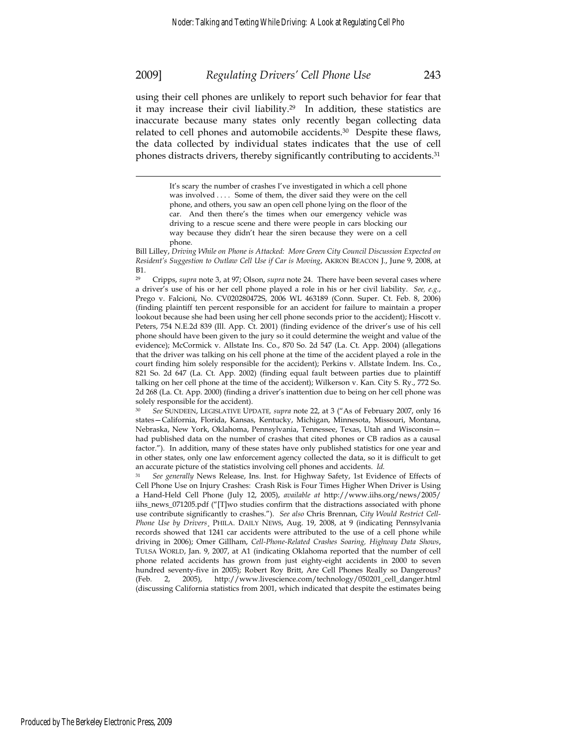$\overline{a}$ 

using their cell phones are unlikely to report such behavior for fear that it may increase their civil liability.<sup>29</sup> In addition, these statistics are inaccurate because many states only recently began collecting data related to cell phones and automobile accidents.30 Despite these flaws, the data collected by individual states indicates that the use of cell phones distracts drivers, thereby significantly contributing to accidents.31

It's scary the number of crashes I've investigated in which a cell phone was involved . . . . Some of them, the diver said they were on the cell phone, and others, you saw an open cell phone lying on the floor of the car. And then there's the times when our emergency vehicle was driving to a rescue scene and there were people in cars blocking our way because they didn't hear the siren because they were on a cell phone.

Bill Lilley, *Driving While on Phone is Attacked: More Green City Council Discussion Expected on Resident's Suggestion to Outlaw Cell Use if Car is Moving*, AKRON BEACON J., June 9, 2008, at B1.

<sup>29</sup> Cripps, *supra* note 3, at 97; Olson, *supra* note 24. There have been several cases where a driver's use of his or her cell phone played a role in his or her civil liability. *See, e.g.*, Prego v. Falcioni, No. CV020280472S, 2006 WL 463189 (Conn. Super. Ct. Feb. 8, 2006) (finding plaintiff ten percent responsible for an accident for failure to maintain a proper lookout because she had been using her cell phone seconds prior to the accident); Hiscott v. Peters, 754 N.E.2d 839 (Ill. App. Ct. 2001) (finding evidence of the driver's use of his cell phone should have been given to the jury so it could determine the weight and value of the evidence); McCormick v. Allstate Ins. Co., 870 So. 2d 547 (La. Ct. App. 2004) (allegations that the driver was talking on his cell phone at the time of the accident played a role in the court finding him solely responsible for the accident); Perkins v. Allstate Indem. Ins. Co., 821 So. 2d 647 (La. Ct. App. 2002) (finding equal fault between parties due to plaintiff talking on her cell phone at the time of the accident); Wilkerson v. Kan. City S. Ry., 772 So. 2d 268 (La. Ct. App. 2000) (finding a driver's inattention due to being on her cell phone was solely responsible for the accident).

<sup>30</sup> *See* SUNDEEN, LEGISLATIVE UPDATE*, supra* note 22, at 3 ("As of February 2007, only 16 states—California, Florida, Kansas, Kentucky, Michigan, Minnesota, Missouri, Montana, Nebraska, New York, Oklahoma, Pennsylvania, Tennessee, Texas, Utah and Wisconsin had published data on the number of crashes that cited phones or CB radios as a causal factor."). In addition, many of these states have only published statistics for one year and in other states, only one law enforcement agency collected the data, so it is difficult to get an accurate picture of the statistics involving cell phones and accidents. *Id.*

<sup>31</sup> *See generally* News Release, Ins. Inst. for Highway Safety, 1st Evidence of Effects of Cell Phone Use on Injury Crashes: Crash Risk is Four Times Higher When Driver is Using a Hand-Held Cell Phone (July 12, 2005), *available at* http://www.iihs.org/news/2005/ iihs\_news\_071205.pdf ("[T]wo studies confirm that the distractions associated with phone use contribute significantly to crashes."). *See also* Chris Brennan, *City Would Restrict Cell-Phone Use by Drivers*¸ PHILA. DAILY NEWS, Aug. 19, 2008, at 9 (indicating Pennsylvania records showed that 1241 car accidents were attributed to the use of a cell phone while driving in 2006); Omer Gillham, *Cell-Phone-Related Crashes Soaring, Highway Data Shows*, TULSA WORLD, Jan. 9, 2007, at A1 (indicating Oklahoma reported that the number of cell phone related accidents has grown from just eighty-eight accidents in 2000 to seven hundred seventy-five in 2005); Robert Roy Britt, Are Cell Phones Really so Dangerous? (Feb. 2, 2005), http://www.livescience.com/technology/050201\_cell\_danger.html (discussing California statistics from 2001, which indicated that despite the estimates being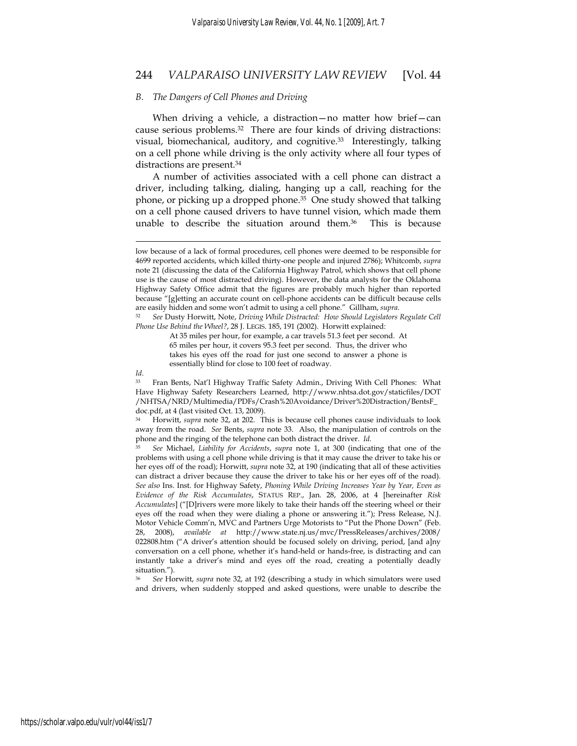#### *B. The Dangers of Cell Phones and Driving*

When driving a vehicle, a distraction—no matter how brief—can cause serious problems.32 There are four kinds of driving distractions: visual, biomechanical, auditory, and cognitive.<sup>33</sup> Interestingly, talking on a cell phone while driving is the only activity where all four types of distractions are present.34

A number of activities associated with a cell phone can distract a driver, including talking, dialing, hanging up a call, reaching for the phone, or picking up a dropped phone.35 One study showed that talking on a cell phone caused drivers to have tunnel vision, which made them unable to describe the situation around them. $36$  This is because

 $\overline{a}$ 

34 Horwitt, *supra* note 32, at 202. This is because cell phones cause individuals to look away from the road. *See* Bents, *supra* note 33. Also, the manipulation of controls on the phone and the ringing of the telephone can both distract the driver. *Id.*

low because of a lack of formal procedures, cell phones were deemed to be responsible for 4699 reported accidents, which killed thirty-one people and injured 2786); Whitcomb, *supra*  note 21 (discussing the data of the California Highway Patrol, which shows that cell phone use is the cause of most distracted driving). However, the data analysts for the Oklahoma Highway Safety Office admit that the figures are probably much higher than reported because "[g]etting an accurate count on cell-phone accidents can be difficult because cells are easily hidden and some won't admit to using a cell phone." Gillham, *supra*. 32 *See* Dusty Horwitt, Note, *Driving While Distracted: How Should Legislators Regulate Cell* 

*Phone Use Behind the Wheel?*, 28 J. LEGIS. 185, 191 (2002). Horwitt explained:

At 35 miles per hour, for example, a car travels 51.3 feet per second. At 65 miles per hour, it covers 95.3 feet per second. Thus, the driver who takes his eyes off the road for just one second to answer a phone is essentially blind for close to 100 feet of roadway.

*Id*.

<sup>33</sup> Fran Bents, Nat'l Highway Traffic Safety Admin., Driving With Cell Phones: What Have Highway Safety Researchers Learned, http://www.nhtsa.dot.gov/staticfiles/DOT /NHTSA/NRD/Multimedia/PDFs/Crash%20Avoidance/Driver%20Distraction/BentsF\_ doc.pdf, at 4 (last visited Oct. 13, 2009).

<sup>35</sup> *See* Michael, *Liability for Accidents*, *supra* note 1, at 300 (indicating that one of the problems with using a cell phone while driving is that it may cause the driver to take his or her eyes off of the road); Horwitt, *supra* note 32, at 190 (indicating that all of these activities can distract a driver because they cause the driver to take his or her eyes off of the road). *See also* Ins. Inst. for Highway Safety, *Phoning While Driving Increases Year by Year, Even as Evidence of the Risk Accumulates*, STATUS REP., Jan. 28, 2006, at 4 [hereinafter *Risk Accumulates*] ("[D]rivers were more likely to take their hands off the steering wheel or their eyes off the road when they were dialing a phone or answering it."); Press Release, N.J. Motor Vehicle Comm'n, MVC and Partners Urge Motorists to "Put the Phone Down" (Feb. 28, 2008), *available at* http://www.state.nj.us/mvc/PressReleases/archives/2008/ 022808.htm ("A driver's attention should be focused solely on driving, period, [and a]ny conversation on a cell phone, whether it's hand-held or hands-free, is distracting and can instantly take a driver's mind and eyes off the road, creating a potentially deadly situation.").

<sup>36</sup> *See* Horwitt, *supra* note 32, at 192 (describing a study in which simulators were used and drivers, when suddenly stopped and asked questions, were unable to describe the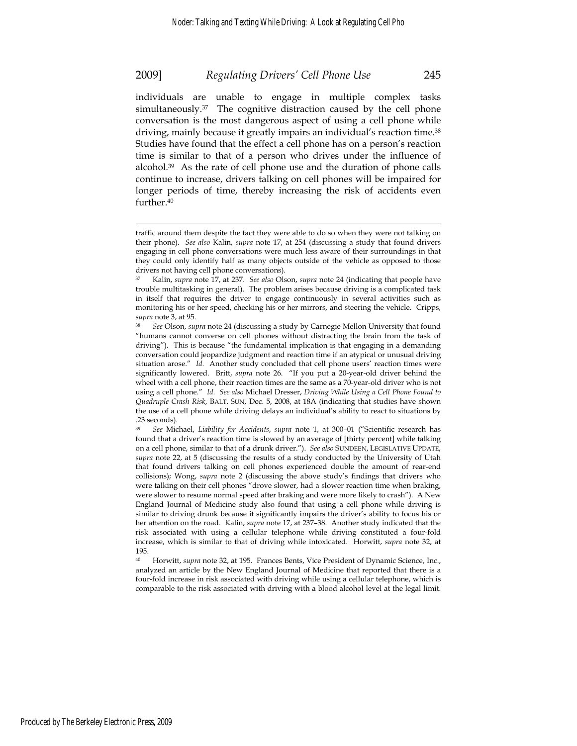$\overline{a}$ 

#### 2009] *Regulating Drivers' Cell Phone Use* 245

individuals are unable to engage in multiple complex tasks simultaneously.<sup>37</sup> The cognitive distraction caused by the cell phone conversation is the most dangerous aspect of using a cell phone while driving, mainly because it greatly impairs an individual's reaction time.<sup>38</sup> Studies have found that the effect a cell phone has on a person's reaction time is similar to that of a person who drives under the influence of alcohol.39 As the rate of cell phone use and the duration of phone calls continue to increase, drivers talking on cell phones will be impaired for longer periods of time, thereby increasing the risk of accidents even further.40

40 Horwitt, *supra* note 32, at 195. Frances Bents, Vice President of Dynamic Science, Inc., analyzed an article by the New England Journal of Medicine that reported that there is a four-fold increase in risk associated with driving while using a cellular telephone, which is comparable to the risk associated with driving with a blood alcohol level at the legal limit.

traffic around them despite the fact they were able to do so when they were not talking on their phone). *See also* Kalin, *supra* note 17, at 254 (discussing a study that found drivers engaging in cell phone conversations were much less aware of their surroundings in that they could only identify half as many objects outside of the vehicle as opposed to those drivers not having cell phone conversations).

<sup>37</sup> Kalin, *supra* note 17, at 237. *See also* Olson, *supra* note 24 (indicating that people have trouble multitasking in general). The problem arises because driving is a complicated task in itself that requires the driver to engage continuously in several activities such as monitoring his or her speed, checking his or her mirrors, and steering the vehicle. Cripps, *supra* note 3, at 95.

<sup>38</sup> *See* Olson, *supra* note 24 (discussing a study by Carnegie Mellon University that found "humans cannot converse on cell phones without distracting the brain from the task of driving"). This is because "the fundamental implication is that engaging in a demanding conversation could jeopardize judgment and reaction time if an atypical or unusual driving situation arose." *Id.* Another study concluded that cell phone users' reaction times were significantly lowered. Britt, *supra* note 26. "If you put a 20-year-old driver behind the wheel with a cell phone, their reaction times are the same as a 70-year-old driver who is not using a cell phone." *Id. See also* Michael Dresser, *Driving While Using a Cell Phone Found to Quadruple Crash Risk*, BALT. SUN, Dec. 5, 2008, at 18A (indicating that studies have shown the use of a cell phone while driving delays an individual's ability to react to situations by .23 seconds).

<sup>39</sup> *See* Michael, *Liability for Accidents*, *supra* note 1, at 300–01 ("Scientific research has found that a driver's reaction time is slowed by an average of [thirty percent] while talking on a cell phone, similar to that of a drunk driver."). *See also* SUNDEEN, LEGISLATIVE UPDATE, *supra* note 22, at 5 (discussing the results of a study conducted by the University of Utah that found drivers talking on cell phones experienced double the amount of rear-end collisions); Wong, *supra* note 2 (discussing the above study's findings that drivers who were talking on their cell phones "drove slower, had a slower reaction time when braking, were slower to resume normal speed after braking and were more likely to crash"). A New England Journal of Medicine study also found that using a cell phone while driving is similar to driving drunk because it significantly impairs the driver's ability to focus his or her attention on the road. Kalin, *supra* note 17, at 237–38. Another study indicated that the risk associated with using a cellular telephone while driving constituted a four-fold increase, which is similar to that of driving while intoxicated. Horwitt, *supra* note 32, at 195.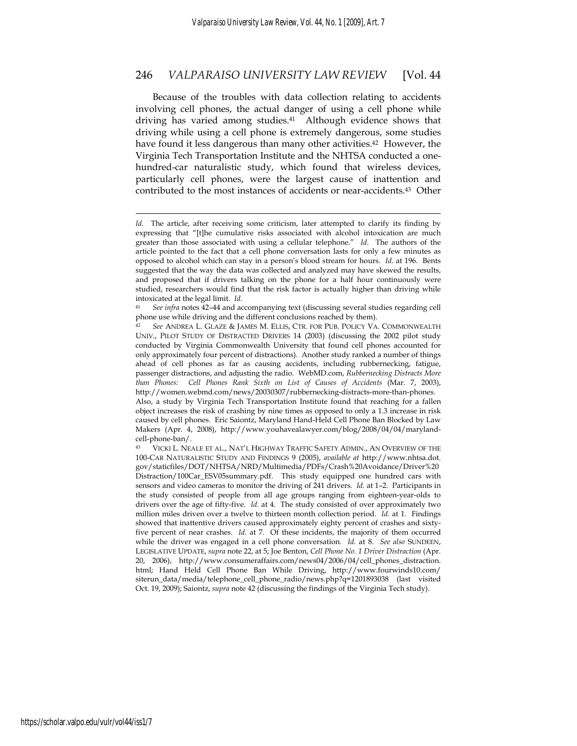Because of the troubles with data collection relating to accidents involving cell phones, the actual danger of using a cell phone while driving has varied among studies.<sup>41</sup> Although evidence shows that driving while using a cell phone is extremely dangerous, some studies have found it less dangerous than many other activities.<sup>42</sup> However, the Virginia Tech Transportation Institute and the NHTSA conducted a onehundred-car naturalistic study, which found that wireless devices, particularly cell phones, were the largest cause of inattention and contributed to the most instances of accidents or near-accidents.43 Other

*Id.* The article, after receiving some criticism, later attempted to clarify its finding by expressing that "[t]he cumulative risks associated with alcohol intoxication are much greater than those associated with using a cellular telephone." *Id*. The authors of the article pointed to the fact that a cell phone conversation lasts for only a few minutes as opposed to alcohol which can stay in a person's blood stream for hours. *Id.* at 196. Bents suggested that the way the data was collected and analyzed may have skewed the results, and proposed that if drivers talking on the phone for a half hour continuously were studied, researchers would find that the risk factor is actually higher than driving while intoxicated at the legal limit. *Id.* 

<sup>41</sup> *See infra* notes 42–44 and accompanying text (discussing several studies regarding cell phone use while driving and the different conclusions reached by them).

<sup>42</sup> *See* ANDREA L. GLAZE & JAMES M. ELLIS, CTR. FOR PUB. POLICY VA. COMMONWEALTH UNIV., PILOT STUDY OF DISTRACTED DRIVERS 14 (2003) (discussing the 2002 pilot study conducted by Virginia Commonwealth University that found cell phones accounted for only approximately four percent of distractions). Another study ranked a number of things ahead of cell phones as far as causing accidents, including rubbernecking, fatigue, passenger distractions, and adjusting the radio. WebMD.com, *Rubbernecking Distracts More than Phones: Cell Phones Rank Sixth on List of Causes of Accidents* (Mar. 7, 2003), http://women.webmd.com/news/20030307/rubbernecking-distracts-more-than-phones.

Also, a study by Virginia Tech Transportation Institute found that reaching for a fallen object increases the risk of crashing by nine times as opposed to only a 1.3 increase in risk caused by cell phones. Eric Saiontz, Maryland Hand-Held Cell Phone Ban Blocked by Law Makers (Apr. 4, 2008), http://www.youhavealawyer.com/blog/2008/04/04/marylandcell-phone-ban/.

VICKI L. NEALE ET AL., NAT'L HIGHWAY TRAFFIC SAFETY ADMIN., AN OVERVIEW OF THE 100-CAR NATURALISTIC STUDY AND FINDINGS 9 (2005), *available at* http://www.nhtsa.dot. gov/staticfiles/DOT/NHTSA/NRD/Multimedia/PDFs/Crash%20Avoidance/Driver%20 Distraction/100Car\_ESV05summary.pdf. This study equipped one hundred cars with sensors and video cameras to monitor the driving of 241 drivers. *Id.* at 1–2. Participants in the study consisted of people from all age groups ranging from eighteen-year-olds to drivers over the age of fifty-five. *Id.* at 4. The study consisted of over approximately two million miles driven over a twelve to thirteen month collection period. *Id.* at 1. Findings showed that inattentive drivers caused approximately eighty percent of crashes and sixtyfive percent of near crashes. *Id.* at 7. Of these incidents, the majority of them occurred while the driver was engaged in a cell phone conversation. *Id.* at 8. *See also* SUNDEEN, LEGISLATIVE UPDATE, *supra* note 22, at 5; Joe Benton, *Cell Phone No. 1 Driver Distraction* (Apr. 20, 2006), http://www.consumeraffairs.com/news04/2006/04/cell\_phones\_distraction. html; Hand Held Cell Phone Ban While Driving, http://www.fourwinds10.com/ siterun\_data/media/telephone\_cell\_phone\_radio/news.php?q=1201893038 (last visited Oct. 19, 2009); Saiontz, *supra* note 42 (discussing the findings of the Virginia Tech study).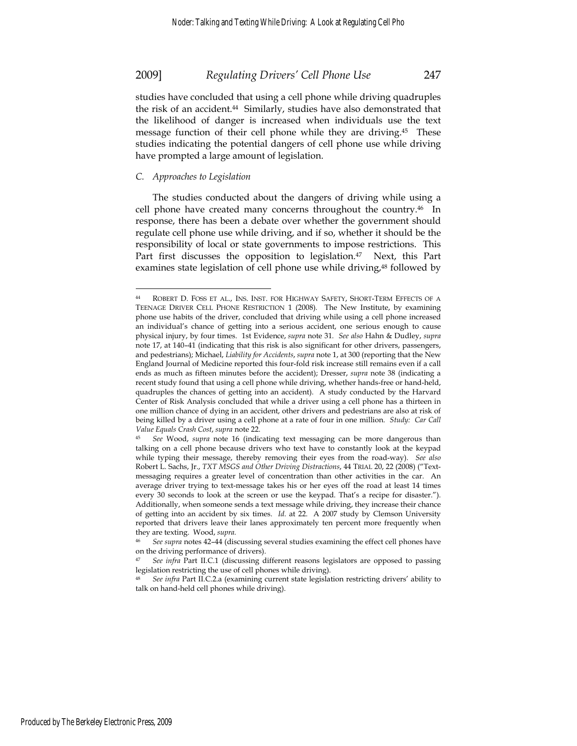studies have concluded that using a cell phone while driving quadruples the risk of an accident.<sup>44</sup> Similarly, studies have also demonstrated that the likelihood of danger is increased when individuals use the text message function of their cell phone while they are driving.45 These studies indicating the potential dangers of cell phone use while driving have prompted a large amount of legislation.

#### *C. Approaches to Legislation*

 $\overline{a}$ 

The studies conducted about the dangers of driving while using a cell phone have created many concerns throughout the country.46 In response, there has been a debate over whether the government should regulate cell phone use while driving, and if so, whether it should be the responsibility of local or state governments to impose restrictions. This Part first discusses the opposition to legislation.<sup>47</sup> Next, this Part examines state legislation of cell phone use while driving,<sup>48</sup> followed by

ROBERT D. FOSS ET AL., INS. INST. FOR HIGHWAY SAFETY, SHORT-TERM EFFECTS OF A TEENAGE DRIVER CELL PHONE RESTRICTION 1 (2008)*.* The New Institute, by examining phone use habits of the driver, concluded that driving while using a cell phone increased an individual's chance of getting into a serious accident, one serious enough to cause physical injury, by four times. 1st Evidence, *supra* note 31*. See also* Hahn & Dudley, *supra*  note 17, at 140–41 (indicating that this risk is also significant for other drivers, passengers, and pedestrians); Michael, *Liability for Accidents*, *supra* note 1, at 300 (reporting that the New England Journal of Medicine reported this four-fold risk increase still remains even if a call ends as much as fifteen minutes before the accident); Dresser, *supra* note 38 (indicating a recent study found that using a cell phone while driving, whether hands-free or hand-held, quadruples the chances of getting into an accident). A study conducted by the Harvard Center of Risk Analysis concluded that while a driver using a cell phone has a thirteen in one million chance of dying in an accident, other drivers and pedestrians are also at risk of being killed by a driver using a cell phone at a rate of four in one million. *Study: Car Call* 

*Value Equals Crash Cost*, *supra* note 22. 45 *See* Wood, *supra* note 16 (indicating text messaging can be more dangerous than talking on a cell phone because drivers who text have to constantly look at the keypad while typing their message, thereby removing their eyes from the road-way). *See also*  Robert L. Sachs, Jr., *TXT MSGS and Other Driving Distractions*, 44 TRIAL 20, 22 (2008) ("Textmessaging requires a greater level of concentration than other activities in the car. An average driver trying to text-message takes his or her eyes off the road at least 14 times every 30 seconds to look at the screen or use the keypad. That's a recipe for disaster."). Additionally, when someone sends a text message while driving, they increase their chance of getting into an accident by six times. *Id.* at 22. A 2007 study by Clemson University reported that drivers leave their lanes approximately ten percent more frequently when they are texting. Wood, *supra.*

<sup>46</sup> *See supra* notes 42–44 (discussing several studies examining the effect cell phones have on the driving performance of drivers).

<sup>47</sup> *See infra* Part II.C.1 (discussing different reasons legislators are opposed to passing legislation restricting the use of cell phones while driving).

<sup>48</sup> *See infra* Part II.C.2.a (examining current state legislation restricting drivers' ability to talk on hand-held cell phones while driving).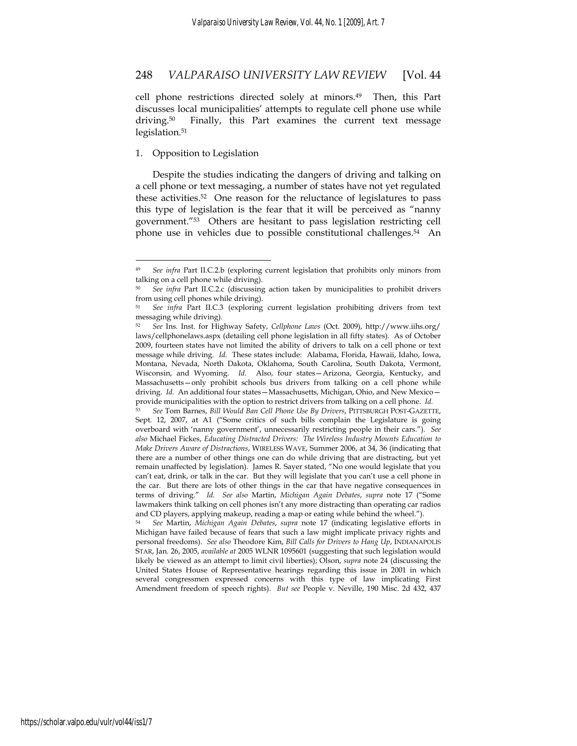cell phone restrictions directed solely at minors.49 Then, this Part discusses local municipalities' attempts to regulate cell phone use while driving.50 Finally, this Part examines the current text message legislation.<sup>51</sup>

#### 1. Opposition to Legislation

 $\overline{a}$ 

Despite the studies indicating the dangers of driving and talking on a cell phone or text messaging, a number of states have not yet regulated these activities.52 One reason for the reluctance of legislatures to pass this type of legislation is the fear that it will be perceived as "nanny government."53 Others are hesitant to pass legislation restricting cell phone use in vehicles due to possible constitutional challenges.<sup>54</sup> An

Michigan have failed because of fears that such a law might implicate privacy rights and personal freedoms). *See also* Theodore Kim, *Bill Calls for Drivers to Hang Up*, INDIANAPOLIS STAR, Jan. 26, 2005, *available at* 2005 WLNR 1095601 (suggesting that such legislation would likely be viewed as an attempt to limit civil liberties); Olson, *supra* note 24 (discussing the United States House of Representative hearings regarding this issue in 2001 in which several congressmen expressed concerns with this type of law implicating First Amendment freedom of speech rights). *But see* People v. Neville, 190 Misc. 2d 432, 437

<sup>49</sup> *See infra* Part II.C.2.b (exploring current legislation that prohibits only minors from talking on a cell phone while driving).

<sup>50</sup> *See infra* Part II.C.2.c (discussing action taken by municipalities to prohibit drivers from using cell phones while driving).

<sup>51</sup> *See infra* Part II.C.3 (exploring current legislation prohibiting drivers from text messaging while driving).

<sup>52</sup> *See* Ins. Inst. for Highway Safety, *Cellphone Laws* (Oct. 2009), http://www.iihs.org/ laws/cellphonelaws.aspx (detailing cell phone legislation in all fifty states). As of October 2009, fourteen states have not limited the ability of drivers to talk on a cell phone or text message while driving. *Id.* These states include: Alabama, Florida, Hawaii, Idaho, Iowa, Montana, Nevada, North Dakota, Oklahoma, South Carolina, South Dakota, Vermont, Wisconsin, and Wyoming. *Id.* Also, four states—Arizona, Georgia, Kentucky, and Massachusetts—only prohibit schools bus drivers from talking on a cell phone while driving. *Id.* An additional four states-Massachusetts, Michigan, Ohio, and New Mexicoprovide municipalities with the option to restrict drivers from talking on a cell phone. *Id.* 

<sup>53</sup> *See* Tom Barnes, *Bill Would Ban Cell Phone Use By Drivers*, PITTSBURGH POST-GAZETTE, Sept. 12, 2007, at A1 ("Some critics of such bills complain the Legislature is going overboard with 'nanny government', unnecessarily restricting people in their cars."). *See also* Michael Fickes, *Educating Distracted Drivers: The Wireless Industry Mounts Education to Make Drivers Aware of Distractions*, WIRELESS WAVE, Summer 2006, at 34, 36 (indicating that there are a number of other things one can do while driving that are distracting, but yet remain unaffected by legislation). James R. Sayer stated, "No one would legislate that you can't eat, drink, or talk in the car. But they will legislate that you can't use a cell phone in the car. But there are lots of other things in the car that have negative consequences in terms of driving." *Id. See also* Martin, *Michigan Again Debates*, *supra* note 17 ("Some lawmakers think talking on cell phones isn't any more distracting than operating car radios and CD players, applying makeup, reading a map or eating while behind the wheel."). 54 *See* Martin, *Michigan Again Debates*, *supra* note 17 (indicating legislative efforts in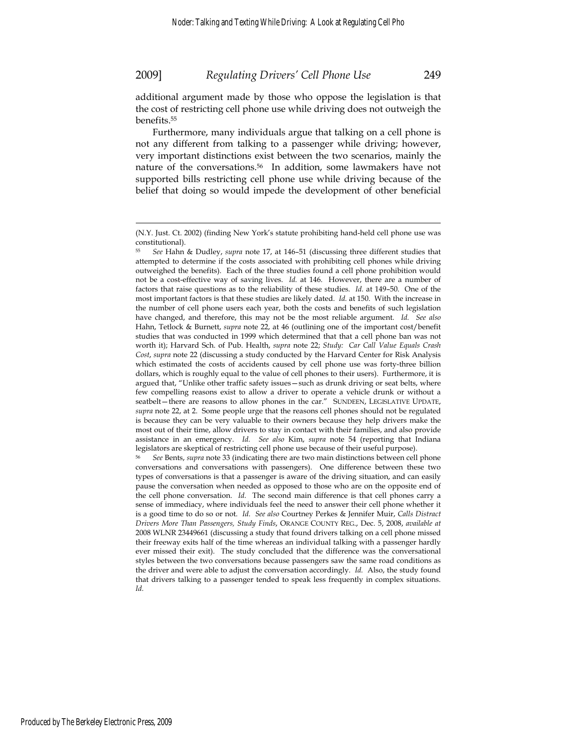$\overline{a}$ 

additional argument made by those who oppose the legislation is that the cost of restricting cell phone use while driving does not outweigh the benefits.55

Furthermore, many individuals argue that talking on a cell phone is not any different from talking to a passenger while driving; however, very important distinctions exist between the two scenarios, mainly the nature of the conversations.56 In addition, some lawmakers have not supported bills restricting cell phone use while driving because of the belief that doing so would impede the development of other beneficial

<sup>56</sup> *See* Bents, *supra* note 33 (indicating there are two main distinctions between cell phone conversations and conversations with passengers). One difference between these two types of conversations is that a passenger is aware of the driving situation, and can easily pause the conversation when needed as opposed to those who are on the opposite end of the cell phone conversation. *Id.* The second main difference is that cell phones carry a sense of immediacy, where individuals feel the need to answer their cell phone whether it is a good time to do so or not. *Id*. *See also* Courtney Perkes & Jennifer Muir, *Calls Distract Drivers More Than Passengers, Study Finds*, ORANGE COUNTY REG., Dec. 5, 2008, *available at* 2008 WLNR 23449661 (discussing a study that found drivers talking on a cell phone missed their freeway exits half of the time whereas an individual talking with a passenger hardly ever missed their exit). The study concluded that the difference was the conversational styles between the two conversations because passengers saw the same road conditions as the driver and were able to adjust the conversation accordingly. *Id.* Also, the study found that drivers talking to a passenger tended to speak less frequently in complex situations. *Id.*

<sup>(</sup>N.Y. Just. Ct. 2002) (finding New York's statute prohibiting hand-held cell phone use was constitutional).

<sup>55</sup> *See* Hahn & Dudley, *supra* note 17, at 146–51 (discussing three different studies that attempted to determine if the costs associated with prohibiting cell phones while driving outweighed the benefits). Each of the three studies found a cell phone prohibition would not be a cost-effective way of saving lives. *Id.* at 146. However, there are a number of factors that raise questions as to the reliability of these studies. *Id.* at 149–50. One of the most important factors is that these studies are likely dated. *Id.* at 150. With the increase in the number of cell phone users each year, both the costs and benefits of such legislation have changed, and therefore, this may not be the most reliable argument. *Id. See also* Hahn, Tetlock & Burnett, *supra* note 22, at 46 (outlining one of the important cost/benefit studies that was conducted in 1999 which determined that that a cell phone ban was not worth it); Harvard Sch. of Pub. Health, *supra* note 22; *Study: Car Call Value Equals Crash Cost*, *supra* note 22 (discussing a study conducted by the Harvard Center for Risk Analysis which estimated the costs of accidents caused by cell phone use was forty-three billion dollars, which is roughly equal to the value of cell phones to their users). Furthermore, it is argued that, "Unlike other traffic safety issues—such as drunk driving or seat belts, where few compelling reasons exist to allow a driver to operate a vehicle drunk or without a seatbelt-there are reasons to allow phones in the car." SUNDEEN, LEGISLATIVE UPDATE, *supra* note 22, at 2. Some people urge that the reasons cell phones should not be regulated is because they can be very valuable to their owners because they help drivers make the most out of their time, allow drivers to stay in contact with their families, and also provide assistance in an emergency. *Id. See also* Kim, *supra* note 54 (reporting that Indiana legislators are skeptical of restricting cell phone use because of their useful purpose).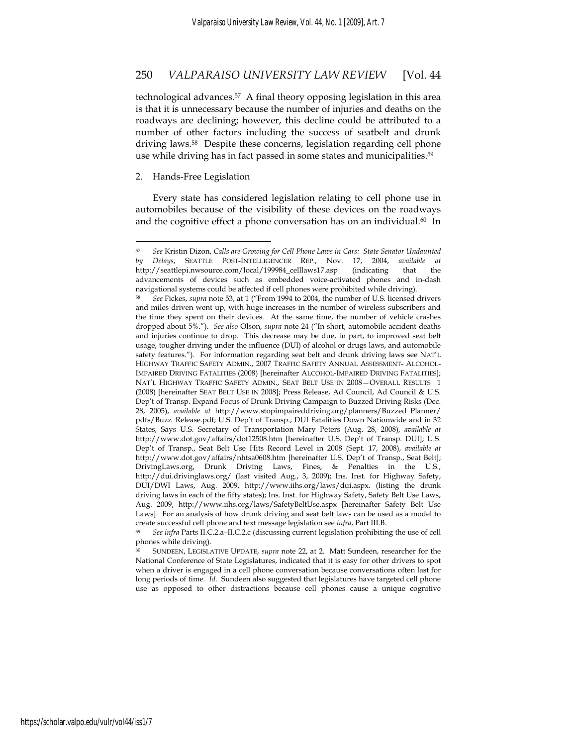technological advances.<sup>57</sup> A final theory opposing legislation in this area is that it is unnecessary because the number of injuries and deaths on the roadways are declining; however, this decline could be attributed to a number of other factors including the success of seatbelt and drunk driving laws.<sup>58</sup> Despite these concerns, legislation regarding cell phone use while driving has in fact passed in some states and municipalities.59

#### 2. Hands-Free Legislation

 $\overline{a}$ 

Every state has considered legislation relating to cell phone use in automobiles because of the visibility of these devices on the roadways and the cognitive effect a phone conversation has on an individual.<sup>60</sup> In

<sup>57</sup> *See* Kristin Dizon, *Calls are Growing for Cell Phone Laws in Cars: State Senator Undaunted by Delays*, SEATTLE POST-INTELLIGENCER REP., Nov. 17, 2004, *available at*  http://seattlepi.nwsource.com/local/199984\_celllaws17.asp (indicating that the advancements of devices such as embedded voice-activated phones and in-dash navigational systems could be affected if cell phones were prohibited while driving).

<sup>58</sup> *See* Fickes, *supra* note 53, at 1 ("From 1994 to 2004, the number of U.S. licensed drivers and miles driven went up, with huge increases in the number of wireless subscribers and the time they spent on their devices. At the same time, the number of vehicle crashes dropped about 5%."). *See also* Olson, *supra* note 24 ("In short, automobile accident deaths and injuries continue to drop. This decrease may be due, in part, to improved seat belt usage, tougher driving under the influence (DUI) of alcohol or drugs laws, and automobile safety features."). For information regarding seat belt and drunk driving laws see NAT'L HIGHWAY TRAFFIC SAFETY ADMIN., 2007 TRAFFIC SAFETY ANNUAL ASSESSMENT- ALCOHOL-IMPAIRED DRIVING FATALITIES (2008) [hereinafter ALCOHOL-IMPAIRED DRIVING FATALITIES]; NAT'L HIGHWAY TRAFFIC SAFETY ADMIN., SEAT BELT USE IN 2008—OVERALL RESULTS 1 (2008) [hereinafter SEAT BELT USE IN 2008]; Press Release, Ad Council, Ad Council & U.S. Dep't of Transp. Expand Focus of Drunk Driving Campaign to Buzzed Driving Risks (Dec. 28, 2005), *available at* http://www.stopimpaireddriving.org/planners/Buzzed\_Planner/ pdfs/Buzz\_Release.pdf; U.S. Dep't of Transp., DUI Fatalities Down Nationwide and in 32 States, Says U.S. Secretary of Transportation Mary Peters (Aug. 28, 2008), *available at* http://www.dot.gov/affairs/dot12508.htm [hereinafter U.S. Dep't of Transp. DUI]; U.S. Dep't of Transp., Seat Belt Use Hits Record Level in 2008 (Sept. 17, 2008), *available at* http://www.dot.gov/affairs/nhtsa0608.htm [hereinafter U.S. Dep't of Transp., Seat Belt]; DrivingLaws.org, Drunk Driving Laws, Fines, & Penalties in the U.S., http://dui.drivinglaws.org/ (last visited Aug., 3, 2009); Ins. Inst. for Highway Safety, DUI/DWI Laws, Aug. 2009, http://www.iihs.org/laws/dui.aspx. (listing the drunk driving laws in each of the fifty states); Ins. Inst. for Highway Safety, Safety Belt Use Laws, Aug. 2009, http://www.iihs.org/laws/SafetyBeltUse.aspx [hereinafter Safety Belt Use Laws]. For an analysis of how drunk driving and seat belt laws can be used as a model to create successful cell phone and text message legislation see *infra*, Part III.B.

<sup>59</sup> *See infra* Parts II.C.2.a–II.C.2.c (discussing current legislation prohibiting the use of cell phones while driving).

<sup>60</sup> SUNDEEN, LEGISLATIVE UPDATE, *supra* note 22, at 2. Matt Sundeen, researcher for the National Conference of State Legislatures, indicated that it is easy for other drivers to spot when a driver is engaged in a cell phone conversation because conversations often last for long periods of time. *Id.* Sundeen also suggested that legislatures have targeted cell phone use as opposed to other distractions because cell phones cause a unique cognitive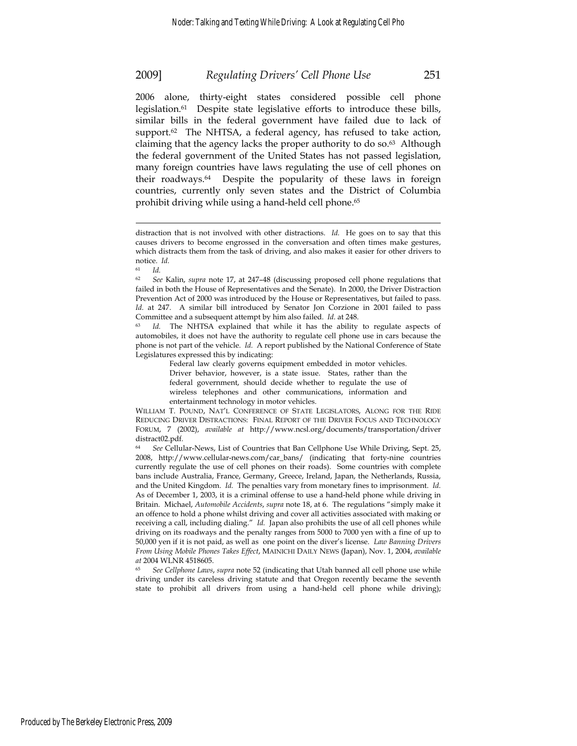2006 alone, thirty-eight states considered possible cell phone legislation.<sup>61</sup> Despite state legislative efforts to introduce these bills, similar bills in the federal government have failed due to lack of support.<sup>62</sup> The NHTSA, a federal agency, has refused to take action, claiming that the agency lacks the proper authority to do so.<sup>63</sup> Although the federal government of the United States has not passed legislation, many foreign countries have laws regulating the use of cell phones on their roadways.64 Despite the popularity of these laws in foreign countries, currently only seven states and the District of Columbia prohibit driving while using a hand-held cell phone.65

 $\overline{a}$ 

<sup>63</sup> *Id.* The NHTSA explained that while it has the ability to regulate aspects of automobiles, it does not have the authority to regulate cell phone use in cars because the phone is not part of the vehicle. *Id.* A report published by the National Conference of State Legislatures expressed this by indicating:

> Federal law clearly governs equipment embedded in motor vehicles. Driver behavior, however, is a state issue. States, rather than the federal government, should decide whether to regulate the use of wireless telephones and other communications, information and entertainment technology in motor vehicles.

WILLIAM T. POUND, NAT'L CONFERENCE OF STATE LEGISLATORS, ALONG FOR THE RIDE REDUCING DRIVER DISTRACTIONS: FINAL REPORT OF THE DRIVER FOCUS AND TECHNOLOGY FORUM, 7 (2002), *available at* http://www.ncsl.org/documents/transportation/driver distract02.pdf*.*

<sup>65</sup> *See Cellphone Laws*, *supra* note 52 (indicating that Utah banned all cell phone use while driving under its careless driving statute and that Oregon recently became the seventh state to prohibit all drivers from using a hand-held cell phone while driving);

distraction that is not involved with other distractions. *Id.* He goes on to say that this causes drivers to become engrossed in the conversation and often times make gestures, which distracts them from the task of driving, and also makes it easier for other drivers to notice. *Id.* 

<sup>61</sup> *Id.*

<sup>62</sup> *See* Kalin, *supra* note 17, at 247–48 (discussing proposed cell phone regulations that failed in both the House of Representatives and the Senate). In 2000, the Driver Distraction Prevention Act of 2000 was introduced by the House or Representatives, but failed to pass. *Id.* at 247. A similar bill introduced by Senator Jon Corzione in 2001 failed to pass Committee and a subsequent attempt by him also failed. *Id.* at 248.

<sup>64</sup> *See* Cellular-News, List of Countries that Ban Cellphone Use While Driving, Sept. 25, 2008, http://www.cellular-news.com/car\_bans/ (indicating that forty-nine countries currently regulate the use of cell phones on their roads). Some countries with complete bans include Australia, France, Germany, Greece, Ireland, Japan, the Netherlands, Russia, and the United Kingdom. *Id.* The penalties vary from monetary fines to imprisonment. *Id.* As of December 1, 2003, it is a criminal offense to use a hand-held phone while driving in Britain. Michael, *Automobile Accidents*, *supra* note 18, at 6. The regulations "simply make it an offence to hold a phone whilst driving and cover all activities associated with making or receiving a call, including dialing." *Id.* Japan also prohibits the use of all cell phones while driving on its roadways and the penalty ranges from 5000 to 7000 yen with a fine of up to 50,000 yen if it is not paid, as well as one point on the diver's license. *Law Banning Drivers From Using Mobile Phones Takes Effect*, MAINICHI DAILY NEWS (Japan), Nov. 1, 2004, *available at* 2004 WLNR 4518605.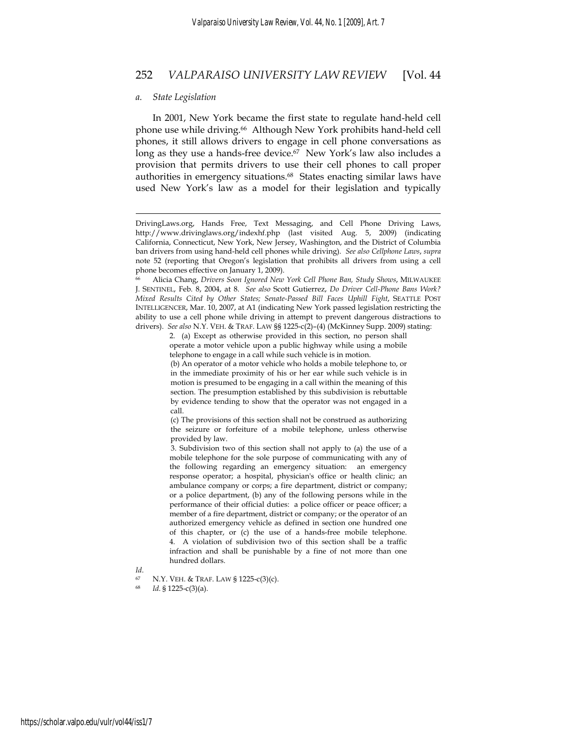#### *a. State Legislation*

 $\overline{a}$ 

In 2001, New York became the first state to regulate hand-held cell phone use while driving.66 Although New York prohibits hand-held cell phones, it still allows drivers to engage in cell phone conversations as long as they use a hands-free device.<sup>67</sup> New York's law also includes a provision that permits drivers to use their cell phones to call proper authorities in emergency situations.68 States enacting similar laws have used New York's law as a model for their legislation and typically

2. (a) Except as otherwise provided in this section, no person shall operate a motor vehicle upon a public highway while using a mobile telephone to engage in a call while such vehicle is in motion.

(c) The provisions of this section shall not be construed as authorizing the seizure or forfeiture of a mobile telephone, unless otherwise provided by law.

3. Subdivision two of this section shall not apply to (a) the use of a mobile telephone for the sole purpose of communicating with any of the following regarding an emergency situation: an emergency response operator; a hospital, physician's office or health clinic; an ambulance company or corps; a fire department, district or company; or a police department, (b) any of the following persons while in the performance of their official duties: a police officer or peace officer; a member of a fire department, district or company; or the operator of an authorized emergency vehicle as defined in section one hundred one of this chapter, or (c) the use of a hands-free mobile telephone. 4. A violation of subdivision two of this section shall be a traffic infraction and shall be punishable by a fine of not more than one hundred dollars.

- *Id*.
- 67 N.Y. VEH. & TRAF. LAW § 1225-c(3)(c). 68 *Id*. § 1225-c(3)(a).
- 

DrivingLaws.org, Hands Free, Text Messaging, and Cell Phone Driving Laws, http://www.drivinglaws.org/indexhf.php (last visited Aug. 5, 2009) (indicating California, Connecticut, New York, New Jersey, Washington, and the District of Columbia ban drivers from using hand-held cell phones while driving). *See also Cellphone Laws*, *supra* note 52 (reporting that Oregon's legislation that prohibits all drivers from using a cell phone becomes effective on January 1, 2009).

<sup>66</sup> Alicia Chang, *Drivers Soon Ignored New York Cell Phone Ban, Study Shows*, MILWAUKEE J. SENTINEL, Feb. 8, 2004, at 8. *See also* Scott Gutierrez, *Do Driver Cell-Phone Bans Work? Mixed Results Cited by Other States; Senate-Passed Bill Faces Uphill Fight*, SEATTLE POST INTELLIGENCER, Mar. 10, 2007, at A1 (indicating New York passed legislation restricting the ability to use a cell phone while driving in attempt to prevent dangerous distractions to drivers). *See also* N.Y. VEH. & TRAF. LAW §§ 1225-c(2)–(4) (McKinney Supp. 2009) stating:

<sup>(</sup>b) An operator of a motor vehicle who holds a mobile telephone to, or in the immediate proximity of his or her ear while such vehicle is in motion is presumed to be engaging in a call within the meaning of this section. The presumption established by this subdivision is rebuttable by evidence tending to show that the operator was not engaged in a call.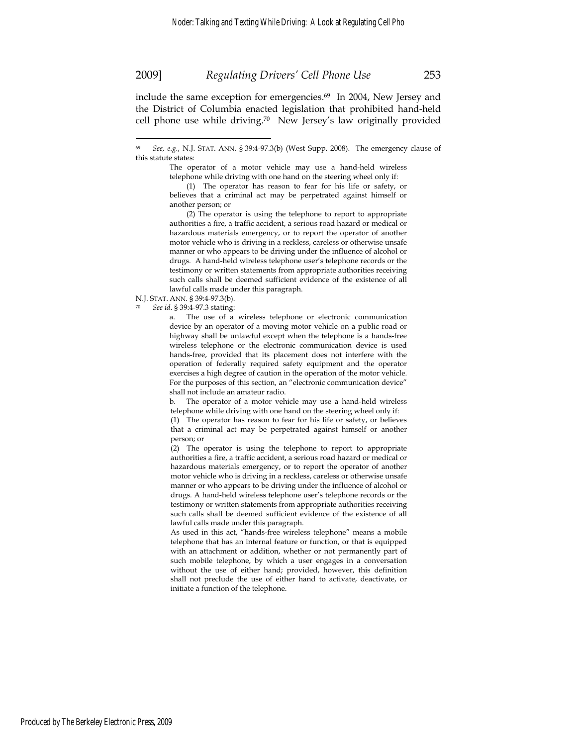$\overline{a}$ 

include the same exception for emergencies.<sup>69</sup> In 2004, New Jersey and the District of Columbia enacted legislation that prohibited hand-held cell phone use while driving.70 New Jersey's law originally provided

The operator of a motor vehicle may use a hand-held wireless telephone while driving with one hand on the steering wheel only if:

 (2) The operator is using the telephone to report to appropriate authorities a fire, a traffic accident, a serious road hazard or medical or hazardous materials emergency, or to report the operator of another motor vehicle who is driving in a reckless, careless or otherwise unsafe manner or who appears to be driving under the influence of alcohol or drugs. A hand-held wireless telephone user's telephone records or the testimony or written statements from appropriate authorities receiving such calls shall be deemed sufficient evidence of the existence of all lawful calls made under this paragraph.

N.J. STAT. ANN. § 39:4-97.3(b).

<sup>70</sup> *See id*. § 39:4-97.3 stating:

a. The use of a wireless telephone or electronic communication device by an operator of a moving motor vehicle on a public road or highway shall be unlawful except when the telephone is a hands-free wireless telephone or the electronic communication device is used hands-free, provided that its placement does not interfere with the operation of federally required safety equipment and the operator exercises a high degree of caution in the operation of the motor vehicle. For the purposes of this section, an "electronic communication device" shall not include an amateur radio.

b. The operator of a motor vehicle may use a hand-held wireless telephone while driving with one hand on the steering wheel only if:

(1) The operator has reason to fear for his life or safety, or believes that a criminal act may be perpetrated against himself or another person; or

(2) The operator is using the telephone to report to appropriate authorities a fire, a traffic accident, a serious road hazard or medical or hazardous materials emergency, or to report the operator of another motor vehicle who is driving in a reckless, careless or otherwise unsafe manner or who appears to be driving under the influence of alcohol or drugs. A hand-held wireless telephone user's telephone records or the testimony or written statements from appropriate authorities receiving such calls shall be deemed sufficient evidence of the existence of all lawful calls made under this paragraph.

As used in this act, "hands-free wireless telephone" means a mobile telephone that has an internal feature or function, or that is equipped with an attachment or addition, whether or not permanently part of such mobile telephone, by which a user engages in a conversation without the use of either hand; provided, however, this definition shall not preclude the use of either hand to activate, deactivate, or initiate a function of the telephone.

<sup>69</sup> *See, e.g.*, N.J. STAT. ANN. § 39:4-97.3(b) (West Supp. 2008). The emergency clause of this statute states:

 <sup>(1)</sup> The operator has reason to fear for his life or safety, or believes that a criminal act may be perpetrated against himself or another person; or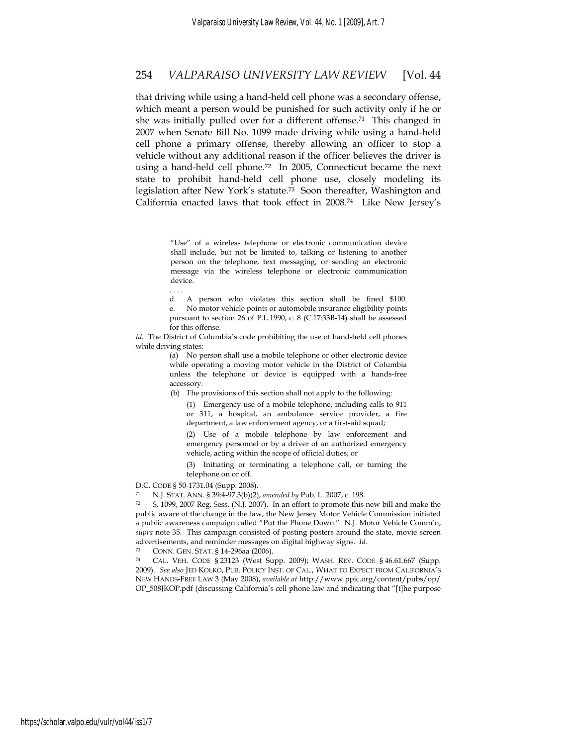that driving while using a hand-held cell phone was a secondary offense, which meant a person would be punished for such activity only if he or she was initially pulled over for a different offense.<sup>71</sup> This changed in 2007 when Senate Bill No. 1099 made driving while using a hand-held cell phone a primary offense, thereby allowing an officer to stop a vehicle without any additional reason if the officer believes the driver is using a hand-held cell phone.72 In 2005, Connecticut became the next state to prohibit hand-held cell phone use, closely modeling its legislation after New York's statute.73 Soon thereafter, Washington and California enacted laws that took effect in 2008.74 Like New Jersey's

*Id.* The District of Columbia's code prohibiting the use of hand-held cell phones while driving states:

> (a) No person shall use a mobile telephone or other electronic device while operating a moving motor vehicle in the District of Columbia unless the telephone or device is equipped with a hands-free accessory.

(b) The provisions of this section shall not apply to the following:

(1) Emergency use of a mobile telephone, including calls to 911 or 311, a hospital, an ambulance service provider, a fire department, a law enforcement agency, or a first-aid squad;

(2) Use of a mobile telephone by law enforcement and emergency personnel or by a driver of an authorized emergency vehicle, acting within the scope of official duties; or

(3) Initiating or terminating a telephone call, or turning the telephone on or off.

 $\overline{a}$ 

D.C. CODE § 50-1731.04 (Supp. 2008). 71 N.J. STAT. ANN. § 39:4-97.3(b)(2), *amended by* Pub. L. 2007, c. 198.

72 S. 1099, 2007 Reg. Sess. (N.J. 2007). In an effort to promote this new bill and make the public aware of the change in the law, the New Jersey Motor Vehicle Commission initiated a public awareness campaign called "Put the Phone Down." N.J. Motor Vehicle Comm'n, *supra* note 35. This campaign consisted of posting posters around the state, movie screen advertisements, and reminder messages on digital highway signs. *Id.*

73 CONN. GEN. STAT. § 14-296aa (2006). 74 CAL. VEH. CODE § 23123 (West Supp. 2009); WASH. REV. CODE § 46.61.667 (Supp. 2009). *See also* JED KOLKO, PUB. POLICY INST. OF CAL., WHAT TO EXPECT FROM CALIFORNIA'S NEW HANDS-FREE LAW 3 (May 2008), *available at* http://www.ppic.org/content/pubs/op/ OP\_508JKOP.pdf (discussing California's cell phone law and indicating that "[t]he purpose

<sup>&</sup>quot;Use" of a wireless telephone or electronic communication device shall include, but not be limited to, talking or listening to another person on the telephone, text messaging, or sending an electronic message via the wireless telephone or electronic communication device.

<sup>. . . .</sup>  d. A person who violates this section shall be fined \$100. e. No motor vehicle points or automobile insurance eligibility points pursuant to section 26 of P.L.1990, c. 8 (C.17:33B-14) shall be assessed for this offense.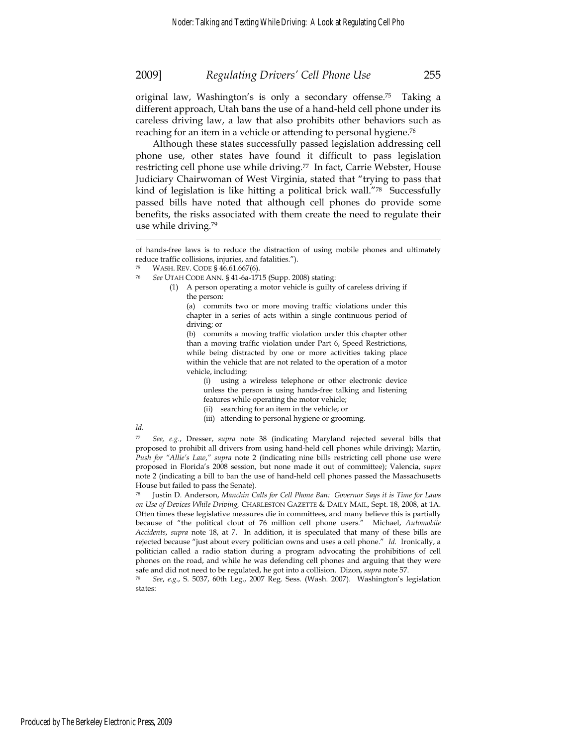original law, Washington's is only a secondary offense.75 Taking a different approach, Utah bans the use of a hand-held cell phone under its careless driving law, a law that also prohibits other behaviors such as reaching for an item in a vehicle or attending to personal hygiene.<sup>76</sup>

Although these states successfully passed legislation addressing cell phone use, other states have found it difficult to pass legislation restricting cell phone use while driving.<sup>77</sup> In fact, Carrie Webster, House Judiciary Chairwoman of West Virginia, stated that "trying to pass that kind of legislation is like hitting a political brick wall."78 Successfully passed bills have noted that although cell phones do provide some benefits, the risks associated with them create the need to regulate their use while driving.79

(1) A person operating a motor vehicle is guilty of careless driving if the person:

(a) commits two or more moving traffic violations under this chapter in a series of acts within a single continuous period of driving; or

(b) commits a moving traffic violation under this chapter other than a moving traffic violation under Part 6, Speed Restrictions, while being distracted by one or more activities taking place within the vehicle that are not related to the operation of a motor vehicle, including:

(i) using a wireless telephone or other electronic device unless the person is using hands-free talking and listening features while operating the motor vehicle;

- (ii) searching for an item in the vehicle; or
- (iii) attending to personal hygiene or grooming.

*Id.*

 $\overline{a}$ 

<sup>77</sup> *See, e.g.*, Dresser, *supra* note 38 (indicating Maryland rejected several bills that proposed to prohibit all drivers from using hand-held cell phones while driving); Martin, *Push for "Allie's Law*,*" supra* note 2 (indicating nine bills restricting cell phone use were proposed in Florida's 2008 session, but none made it out of committee); Valencia, *supra*  note 2 (indicating a bill to ban the use of hand-held cell phones passed the Massachusetts House but failed to pass the Senate).

78 Justin D. Anderson, *Manchin Calls for Cell Phone Ban: Governor Says it is Time for Laws on Use of Devices While Driving,* CHARLESTON GAZETTE & DAILY MAIL, Sept. 18, 2008, at 1A. Often times these legislative measures die in committees, and many believe this is partially because of "the political clout of 76 million cell phone users." Michael, *Automobile Accidents*, *supra* note 18, at 7. In addition, it is speculated that many of these bills are rejected because "just about every politician owns and uses a cell phone." *Id.* Ironically, a politician called a radio station during a program advocating the prohibitions of cell phones on the road, and while he was defending cell phones and arguing that they were safe and did not need to be regulated, he got into a collision. Dizon, *supra* note 57.

<sup>79</sup> *See*, *e.g.*, S. 5037, 60th Leg., 2007 Reg. Sess. (Wash. 2007). Washington's legislation states:

of hands-free laws is to reduce the distraction of using mobile phones and ultimately reduce traffic collisions, injuries, and fatalities.").<br><sup>75</sup> WASH. REV. CODE § 46.61.667(6).

<sup>76</sup> *See* UTAH CODE ANN. § 41-6a-1715 (Supp. 2008) stating: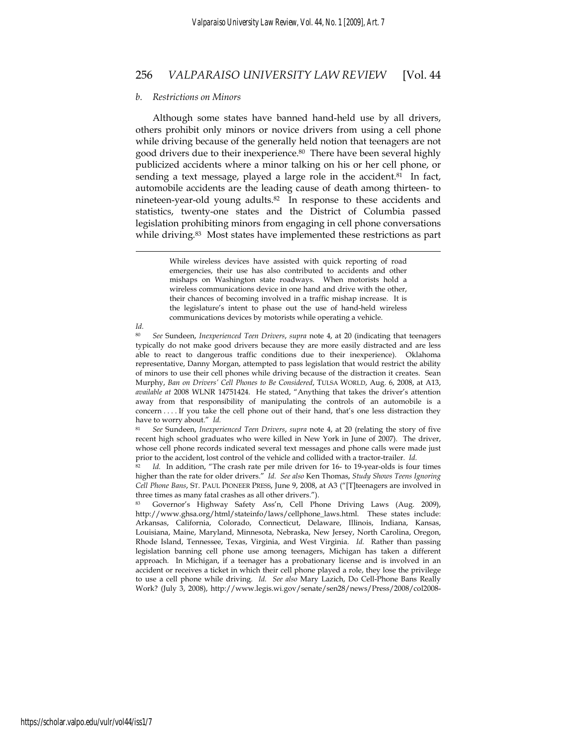#### *b. Restrictions on Minors*

 $\overline{a}$ 

*Id.* 

Although some states have banned hand-held use by all drivers, others prohibit only minors or novice drivers from using a cell phone while driving because of the generally held notion that teenagers are not good drivers due to their inexperience.80 There have been several highly publicized accidents where a minor talking on his or her cell phone, or sending a text message, played a large role in the accident.<sup>81</sup> In fact, automobile accidents are the leading cause of death among thirteen- to nineteen-year-old young adults.82 In response to these accidents and statistics, twenty-one states and the District of Columbia passed legislation prohibiting minors from engaging in cell phone conversations while driving.<sup>83</sup> Most states have implemented these restrictions as part

While wireless devices have assisted with quick reporting of road emergencies, their use has also contributed to accidents and other mishaps on Washington state roadways. When motorists hold a wireless communications device in one hand and drive with the other, their chances of becoming involved in a traffic mishap increase. It is the legislature's intent to phase out the use of hand-held wireless communications devices by motorists while operating a vehicle.

<sup>80</sup> *See* Sundeen, *Inexperienced Teen Drivers*, *supra* note 4, at 20 (indicating that teenagers typically do not make good drivers because they are more easily distracted and are less able to react to dangerous traffic conditions due to their inexperience). Oklahoma representative, Danny Morgan, attempted to pass legislation that would restrict the ability of minors to use their cell phones while driving because of the distraction it creates. Sean Murphy, *Ban on Drivers' Cell Phones to Be Considered*, TULSA WORLD, Aug. 6, 2008, at A13, *available at* 2008 WLNR 14751424. He stated, "Anything that takes the driver's attention away from that responsibility of manipulating the controls of an automobile is a concern . . . . If you take the cell phone out of their hand, that's one less distraction they have to worry about." *Id.*

<sup>81</sup> *See* Sundeen, *Inexperienced Teen Drivers*, *supra* note 4, at 20 (relating the story of five recent high school graduates who were killed in New York in June of 2007). The driver, whose cell phone records indicated several text messages and phone calls were made just prior to the accident, lost control of the vehicle and collided with a tractor-trailer. *Id.* 

Id. In addition, "The crash rate per mile driven for 16- to 19-year-olds is four times higher than the rate for older drivers." *Id. See also* Ken Thomas, *Study Shows Teens Ignoring Cell Phone Bans*, ST. PAUL PIONEER PRESS, June 9, 2008, at A3 ("[T]teenagers are involved in three times as many fatal crashes as all other drivers.").

<sup>83</sup> Governor's Highway Safety Ass'n, Cell Phone Driving Laws (Aug. 2009), http://www.ghsa.org/html/stateinfo/laws/cellphone\_laws.html. These states include: Arkansas, California, Colorado, Connecticut, Delaware, Illinois, Indiana, Kansas, Louisiana, Maine, Maryland, Minnesota, Nebraska, New Jersey, North Carolina, Oregon, Rhode Island, Tennessee, Texas, Virginia, and West Virginia*. Id.* Rather than passing legislation banning cell phone use among teenagers, Michigan has taken a different approach. In Michigan, if a teenager has a probationary license and is involved in an accident or receives a ticket in which their cell phone played a role, they lose the privilege to use a cell phone while driving. *Id. See also* Mary Lazich, Do Cell-Phone Bans Really Work? (July 3, 2008), http://www.legis.wi.gov/senate/sen28/news/Press/2008/col2008-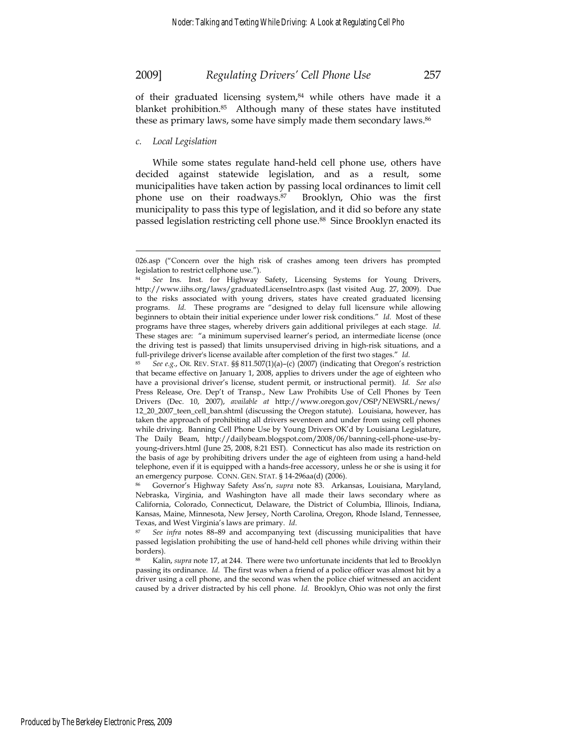of their graduated licensing system, $84$  while others have made it a blanket prohibition.<sup>85</sup> Although many of these states have instituted these as primary laws, some have simply made them secondary laws.<sup>86</sup>

#### *c. Local Legislation*

 $\overline{a}$ 

While some states regulate hand-held cell phone use, others have decided against statewide legislation, and as a result, some municipalities have taken action by passing local ordinances to limit cell phone use on their roadways.87 Brooklyn, Ohio was the first municipality to pass this type of legislation, and it did so before any state passed legislation restricting cell phone use.<sup>88</sup> Since Brooklyn enacted its

<sup>026.</sup>asp ("Concern over the high risk of crashes among teen drivers has prompted legislation to restrict cellphone use.").

See Ins. Inst. for Highway Safety, Licensing Systems for Young Drivers, http://www.iihs.org/laws/graduatedLicenseIntro.aspx (last visited Aug. 27, 2009). Due to the risks associated with young drivers, states have created graduated licensing programs. *Id.* These programs are "designed to delay full licensure while allowing beginners to obtain their initial experience under lower risk conditions." *Id.* Most of these programs have three stages, whereby drivers gain additional privileges at each stage. *Id.*  These stages are: "a minimum supervised learner's period, an intermediate license (once the driving test is passed) that limits unsupervised driving in high-risk situations, and a full-privilege driver's license available after completion of the first two stages." *Id.* 

<sup>85</sup> *See e.g.*, OR. REV. STAT. §§ 811.507(1)(a)–(c) (2007) (indicating that Oregon's restriction that became effective on January 1, 2008, applies to drivers under the age of eighteen who have a provisional driver's license, student permit, or instructional permit). *Id. See also* Press Release, Ore. Dep't of Transp., New Law Prohibits Use of Cell Phones by Teen Drivers (Dec. 10, 2007), *available at* http://www.oregon.gov/OSP/NEWSRL/news/ 12\_20\_2007\_teen\_cell\_ban.shtml (discussing the Oregon statute). Louisiana, however, has taken the approach of prohibiting all drivers seventeen and under from using cell phones while driving. Banning Cell Phone Use by Young Drivers OK'd by Louisiana Legislature, The Daily Beam, http://dailybeam.blogspot.com/2008/06/banning-cell-phone-use-byyoung-drivers.html (June 25, 2008, 8:21 EST). Connecticut has also made its restriction on the basis of age by prohibiting drivers under the age of eighteen from using a hand-held telephone, even if it is equipped with a hands-free accessory, unless he or she is using it for an emergency purpose. CONN. GEN. STAT. § 14-296aa(d) (2006).

<sup>86</sup> Governor's Highway Safety Ass'n, *supra* note 83. Arkansas, Louisiana, Maryland, Nebraska, Virginia, and Washington have all made their laws secondary where as California, Colorado, Connecticut, Delaware, the District of Columbia, Illinois, Indiana, Kansas, Maine, Minnesota, New Jersey, North Carolina, Oregon, Rhode Island, Tennessee, Texas, and West Virginia's laws are primary. *Id*.

<sup>87</sup> *See infra* notes 88–89 and accompanying text (discussing municipalities that have passed legislation prohibiting the use of hand-held cell phones while driving within their borders).

<sup>88</sup> Kalin, *supra* note 17, at 244. There were two unfortunate incidents that led to Brooklyn passing its ordinance. *Id.* The first was when a friend of a police officer was almost hit by a driver using a cell phone, and the second was when the police chief witnessed an accident caused by a driver distracted by his cell phone. *Id.* Brooklyn, Ohio was not only the first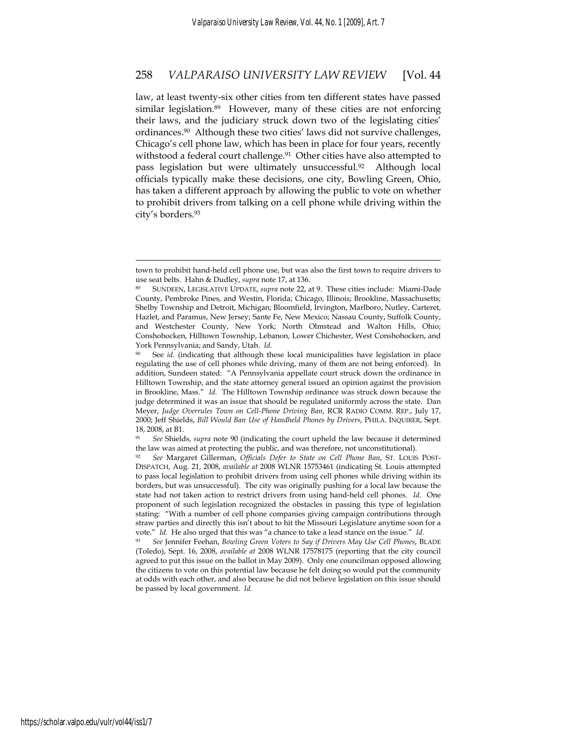law, at least twenty-six other cities from ten different states have passed similar legislation.<sup>89</sup> However, many of these cities are not enforcing their laws, and the judiciary struck down two of the legislating cities' ordinances.90 Although these two cities' laws did not survive challenges, Chicago's cell phone law, which has been in place for four years, recently withstood a federal court challenge.<sup>91</sup> Other cities have also attempted to pass legislation but were ultimately unsuccessful.92 Although local officials typically make these decisions, one city, Bowling Green, Ohio, has taken a different approach by allowing the public to vote on whether to prohibit drivers from talking on a cell phone while driving within the city's borders.93

town to prohibit hand-held cell phone use, but was also the first town to require drivers to

use seat belts. Hahn & Dudley, *supra* note 17, at 136.<br><sup>89</sup> SUNDEEN, LEGISLATIVE UPDATE, *supra* note 22, at 9. These cities include: Miami-Dade County, Pembroke Pines, and Westin, Florida; Chicago, Illinois; Brookline, Massachusetts; Shelby Township and Detroit, Michigan; Bloomfield, Irvington, Marlboro, Nutley, Carteret, Hazlet, and Paramus, New Jersey; Sante Fe, New Mexico; Nassau County, Suffolk County, and Westchester County, New York; North Olmstead and Walton Hills, Ohio; Conshohocken, Hilltown Township, Lebanon, Lower Chichester, West Conshohocken, and York Pennsylvania; and Sandy, Utah. *Id.*

<sup>90</sup> See *id.* (indicating that although these local municipalities have legislation in place regulating the use of cell phones while driving, many of them are not being enforced). In addition, Sundeen stated: "A Pennsylvania appellate court struck down the ordinance in Hilltown Township, and the state attorney general issued an opinion against the provision in Brookline, Mass." *Id.* The Hilltown Township ordinance was struck down because the judge determined it was an issue that should be regulated uniformly across the state. Dan Meyer, *Judge Overrules Town on Cell-Phone Driving Ban*, RCR RADIO COMM. REP., July 17, 2000; Jeff Shields, *Bill Would Ban Use of Handheld Phones by Drivers*, PHILA. INQUIRER, Sept. 18, 2008, at B1.

<sup>91</sup> *See* Shields, *supra* note 90 (indicating the court upheld the law because it determined the law was aimed at protecting the public, and was therefore, not unconstitutional).

<sup>92</sup> *See* Margaret Gillerman, *Officials Defer to State on Cell Phone Ban*, ST. LOUIS POST-DISPATCH, Aug. 21, 2008, *available at* 2008 WLNR 15753461 (indicating St. Louis attempted to pass local legislation to prohibit drivers from using cell phones while driving within its borders, but was unsuccessful). The city was originally pushing for a local law because the state had not taken action to restrict drivers from using hand-held cell phones. *Id.* One proponent of such legislation recognized the obstacles in passing this type of legislation stating: "With a number of cell phone companies giving campaign contributions through straw parties and directly this isn't about to hit the Missouri Legislature anytime soon for a vote." *Id.* He also urged that this was "a chance to take a lead stance on the issue." *Id.*

<sup>93</sup> *See* Jennifer Feehan, *Bowling Green Voters to Say if Drivers May Use Cell Phones*, BLADE (Toledo), Sept. 16, 2008, *available at* 2008 WLNR 17578175 (reporting that the city council agreed to put this issue on the ballot in May 2009). Only one councilman opposed allowing the citizens to vote on this potential law because he felt doing so would put the community at odds with each other, and also because he did not believe legislation on this issue should be passed by local government. *Id.*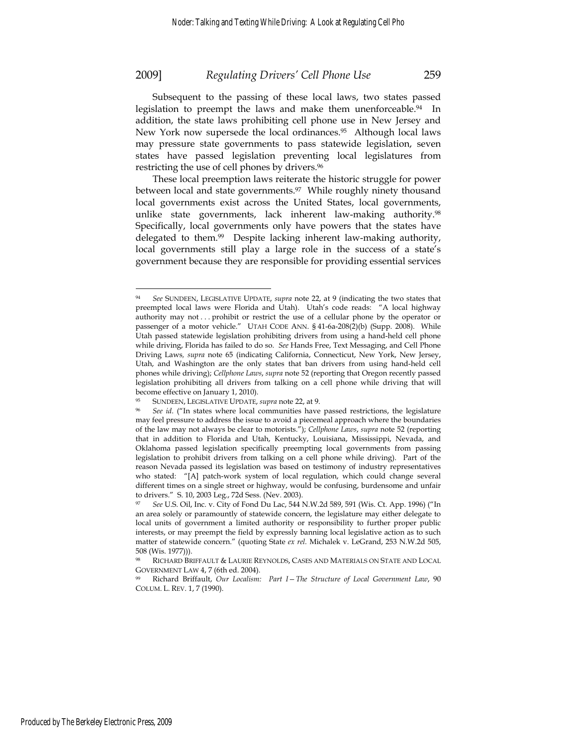$\overline{a}$ 

Subsequent to the passing of these local laws, two states passed legislation to preempt the laws and make them unenforceable.<sup>94</sup> In addition, the state laws prohibiting cell phone use in New Jersey and New York now supersede the local ordinances.<sup>95</sup> Although local laws may pressure state governments to pass statewide legislation, seven states have passed legislation preventing local legislatures from restricting the use of cell phones by drivers.96

These local preemption laws reiterate the historic struggle for power between local and state governments.<sup>97</sup> While roughly ninety thousand local governments exist across the United States, local governments, unlike state governments, lack inherent law-making authority.98 Specifically, local governments only have powers that the states have delegated to them.<sup>99</sup> Despite lacking inherent law-making authority, local governments still play a large role in the success of a state's government because they are responsible for providing essential services

<sup>94</sup> *See* SUNDEEN, LEGISLATIVE UPDATE, *supra* note 22, at 9 (indicating the two states that preempted local laws were Florida and Utah). Utah's code reads: "A local highway authority may not . . . prohibit or restrict the use of a cellular phone by the operator or passenger of a motor vehicle." UTAH CODE ANN. § 41-6a-208(2)(b) (Supp. 2008). While Utah passed statewide legislation prohibiting drivers from using a hand-held cell phone while driving, Florida has failed to do so. *See* Hands Free, Text Messaging, and Cell Phone Driving Laws*, supra* note 65 (indicating California, Connecticut, New York, New Jersey, Utah, and Washington are the only states that ban drivers from using hand-held cell phones while driving); *Cellphone Laws*, *supra* note 52 (reporting that Oregon recently passed legislation prohibiting all drivers from talking on a cell phone while driving that will become effective on January 1, 2010).

<sup>&</sup>lt;sup>95</sup> SUNDEEN, LEGISLATIVE UPDATE, *supra* note 22, at 9.<br><sup>96</sup> *See id.* ("In states where local communities have passed restrictions, the legislature may feel pressure to address the issue to avoid a piecemeal approach where the boundaries of the law may not always be clear to motorists."); *Cellphone Laws*, *supra* note 52 (reporting that in addition to Florida and Utah, Kentucky, Louisiana, Mississippi, Nevada, and Oklahoma passed legislation specifically preempting local governments from passing legislation to prohibit drivers from talking on a cell phone while driving). Part of the reason Nevada passed its legislation was based on testimony of industry representatives who stated: "[A] patch-work system of local regulation, which could change several different times on a single street or highway, would be confusing, burdensome and unfair to drivers." S. 10, 2003 Leg., 72d Sess. (Nev. 2003).

<sup>97</sup> *See* U.S. Oil, Inc. v. City of Fond Du Lac, 544 N.W.2d 589, 591 (Wis. Ct. App. 1996) ("In an area solely or paramountly of statewide concern, the legislature may either delegate to local units of government a limited authority or responsibility to further proper public interests, or may preempt the field by expressly banning local legislative action as to such matter of statewide concern." (quoting State *ex rel.* Michalek v. LeGrand, 253 N.W.2d 505, 508 (Wis. 1977))).

<sup>98</sup> RICHARD BRIFFAULT & LAURIE REYNOLDS, CASES AND MATERIALS ON STATE AND LOCAL GOVERNMENT LAW 4, 7 (6th ed. 2004).

<sup>99</sup> Richard Briffault, *Our Localism: Part I—The Structure of Local Government Law*, 90 COLUM. L. REV. 1, 7 (1990).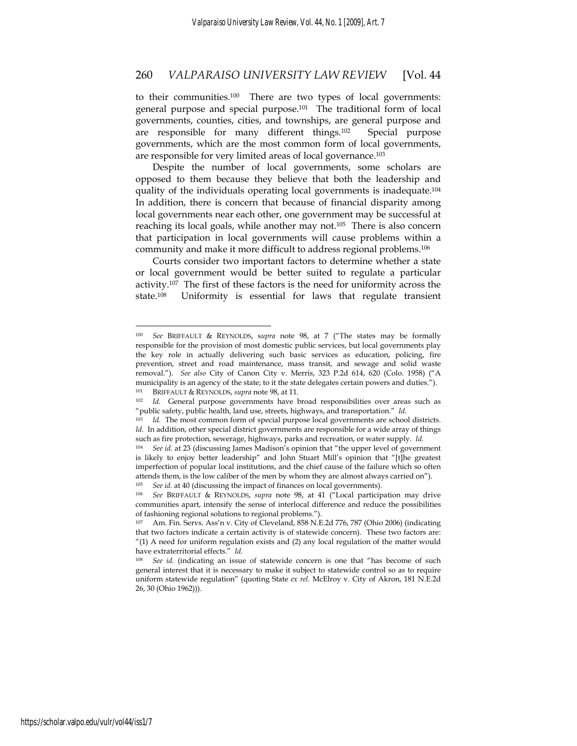to their communities.100 There are two types of local governments: general purpose and special purpose.<sup>101</sup> The traditional form of local governments, counties, cities, and townships, are general purpose and are responsible for many different things.102 Special purpose governments, which are the most common form of local governments, are responsible for very limited areas of local governance.103

Despite the number of local governments, some scholars are opposed to them because they believe that both the leadership and quality of the individuals operating local governments is inadequate.104 In addition, there is concern that because of financial disparity among local governments near each other, one government may be successful at reaching its local goals, while another may not.105 There is also concern that participation in local governments will cause problems within a community and make it more difficult to address regional problems.106

Courts consider two important factors to determine whether a state or local government would be better suited to regulate a particular activity.107 The first of these factors is the need for uniformity across the state.108 Uniformity is essential for laws that regulate transient

<sup>100</sup> *See* BRIFFAULT & REYNOLDS, s*upra* note 98, at 7 ("The states may be formally responsible for the provision of most domestic public services, but local governments play the key role in actually delivering such basic services as education, policing, fire prevention, street and road maintenance, mass transit, and sewage and solid waste removal."). *See also* City of Canon City v. Merris, 323 P.2d 614, 620 (Colo. 1958) ("A municipality is an agency of the state; to it the state delegates certain powers and duties.").

<sup>&</sup>lt;sup>101</sup> BRIFFAULT & REYNOLDS, *supra* note 98, at 11.<br><sup>102</sup> *Id.* General purpose governments have broad responsibilities over areas such as "public safety, public health, land use, streets, highways, and transportation." *Id.*

*Id.* The most common form of special purpose local governments are school districts. *Id.* In addition, other special district governments are responsible for a wide array of things such as fire protection, sewerage, highways, parks and recreation, or water supply. *Id.*

<sup>104</sup> *See id.* at 23 (discussing James Madison's opinion that "the upper level of government is likely to enjoy better leadership" and John Stuart Mill's opinion that "[t]he greatest imperfection of popular local institutions, and the chief cause of the failure which so often attends them, is the low caliber of the men by whom they are almost always carried on").

<sup>105</sup> *See id.* at 40 (discussing the impact of finances on local governments). 106 *See* BRIFFAULT & REYNOLDS, *supra* note 98, at 41 ("Local participation may drive communities apart, intensify the sense of interlocal difference and reduce the possibilities of fashioning regional solutions to regional problems.").

Am. Fin. Servs. Ass'n v. City of Cleveland, 858 N.E.2d 776, 787 (Ohio 2006) (indicating that two factors indicate a certain activity is of statewide concern). These two factors are: "(1) A need for uniform regulation exists and (2) any local regulation of the matter would have extraterritorial effects." *Id.* 

<sup>108</sup> *See id.* (indicating an issue of statewide concern is one that "has become of such general interest that it is necessary to make it subject to statewide control so as to require uniform statewide regulation" (quoting State ex rel. McElroy v. City of Akron, 181 N.E.2d 26, 30 (Ohio 1962))).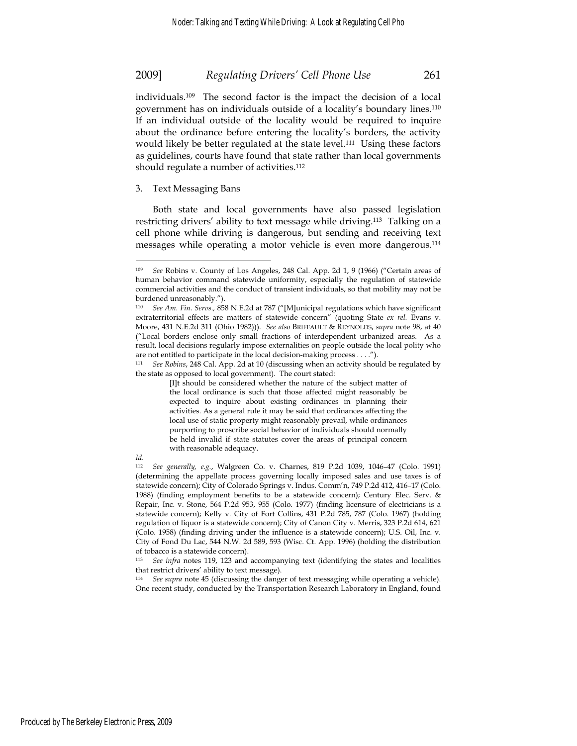individuals.109 The second factor is the impact the decision of a local government has on individuals outside of a locality's boundary lines.110 If an individual outside of the locality would be required to inquire about the ordinance before entering the locality's borders, the activity would likely be better regulated at the state level.<sup>111</sup> Using these factors as guidelines, courts have found that state rather than local governments should regulate a number of activities.<sup>112</sup>

#### 3. Text Messaging Bans

Both state and local governments have also passed legislation restricting drivers' ability to text message while driving.113 Talking on a cell phone while driving is dangerous, but sending and receiving text messages while operating a motor vehicle is even more dangerous.114

<sup>109</sup> *See* Robins v. County of Los Angeles, 248 Cal. App. 2d 1, 9 (1966) ("Certain areas of human behavior command statewide uniformity, especially the regulation of statewide commercial activities and the conduct of transient individuals, so that mobility may not be burdened unreasonably.").

<sup>110</sup> *See Am. Fin. Servs.,* 858 N.E.2d at 787 ("[M]unicipal regulations which have significant extraterritorial effects are matters of statewide concern" (quoting State *ex rel.* Evans v. Moore, 431 N.E.2d 311 (Ohio 1982))). *See also* BRIFFAULT & REYNOLDS, *supra* note 98, at 40 ("Local borders enclose only small fractions of interdependent urbanized areas. As a result, local decisions regularly impose externalities on people outside the local polity who are not entitled to participate in the local decision-making process . . . .").

<sup>111</sup> *See Robins*, 248 Cal. App. 2d at 10 (discussing when an activity should be regulated by the state as opposed to local government). The court stated:

<sup>[</sup>I]t should be considered whether the nature of the subject matter of the local ordinance is such that those affected might reasonably be expected to inquire about existing ordinances in planning their activities. As a general rule it may be said that ordinances affecting the local use of static property might reasonably prevail, while ordinances purporting to proscribe social behavior of individuals should normally be held invalid if state statutes cover the areas of principal concern with reasonable adequacy.

*Id.* 

<sup>112</sup> *See generally, e.g.*, Walgreen Co. v. Charnes, 819 P.2d 1039, 1046–47 (Colo. 1991) (determining the appellate process governing locally imposed sales and use taxes is of statewide concern); City of Colorado Springs v. Indus. Comm'n, 749 P.2d 412, 416–17 (Colo. 1988) (finding employment benefits to be a statewide concern); Century Elec. Serv. & Repair, Inc. v. Stone, 564 P.2d 953, 955 (Colo. 1977) (finding licensure of electricians is a statewide concern); Kelly v. City of Fort Collins, 431 P.2d 785, 787 (Colo. 1967) (holding regulation of liquor is a statewide concern); City of Canon City v. Merris, 323 P.2d 614, 621 (Colo. 1958) (finding driving under the influence is a statewide concern); U.S. Oil, Inc. v. City of Fond Du Lac, 544 N.W. 2d 589, 593 (Wisc. Ct. App. 1996) (holding the distribution of tobacco is a statewide concern).

<sup>113</sup> *See infra* notes 119, 123 and accompanying text (identifying the states and localities that restrict drivers' ability to text message).

<sup>114</sup> *See supra* note 45 (discussing the danger of text messaging while operating a vehicle). One recent study, conducted by the Transportation Research Laboratory in England, found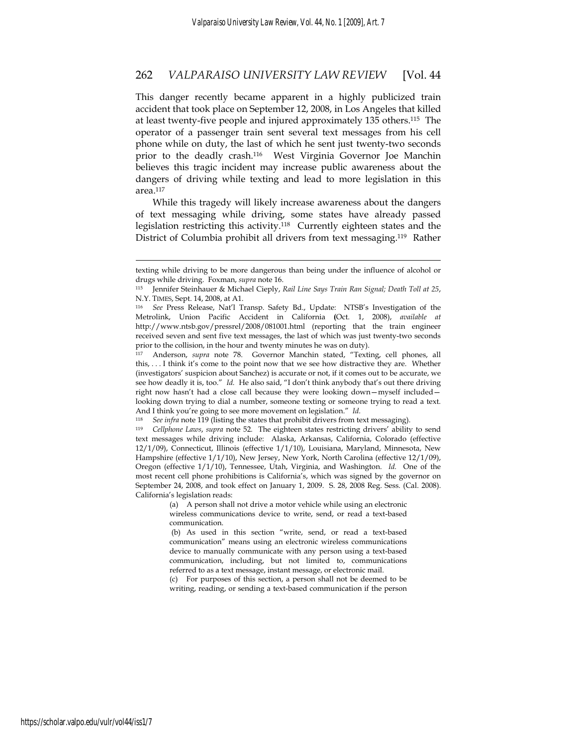This danger recently became apparent in a highly publicized train accident that took place on September 12, 2008, in Los Angeles that killed at least twenty-five people and injured approximately 135 others.115 The operator of a passenger train sent several text messages from his cell phone while on duty, the last of which he sent just twenty-two seconds prior to the deadly crash.116 West Virginia Governor Joe Manchin believes this tragic incident may increase public awareness about the dangers of driving while texting and lead to more legislation in this area.117

While this tragedy will likely increase awareness about the dangers of text messaging while driving, some states have already passed legislation restricting this activity.118 Currently eighteen states and the District of Columbia prohibit all drivers from text messaging.119 Rather

(a) A person shall not drive a motor vehicle while using an electronic wireless communications device to write, send, or read a text-based communication.

(c) For purposes of this section, a person shall not be deemed to be writing, reading, or sending a text-based communication if the person

texting while driving to be more dangerous than being under the influence of alcohol or

drugs while driving. Foxman, *supra* note 16.<br><sup>115</sup> Jennifer Steinhauer & Michael Cieply, *Rail Line Says Train Ran Signal; Death Toll at 25*, N.Y. TIMES, Sept. 14, 2008, at A1.

<sup>116</sup> *See* Press Release, Nat'l Transp. Safety Bd., Update: NTSB's Investigation of the Metrolink, Union Pacific Accident in California **(**Oct. 1, 2008), *available at* http://www.ntsb.gov/pressrel/2008/081001.html (reporting that the train engineer received seven and sent five text messages, the last of which was just twenty-two seconds prior to the collision, in the hour and twenty minutes he was on duty).

<sup>117</sup> Anderson, *supra* note 78. Governor Manchin stated, "Texting, cell phones, all this, . . . I think it's come to the point now that we see how distractive they are. Whether (investigators' suspicion about Sanchez) is accurate or not, if it comes out to be accurate, we see how deadly it is, too." *Id.* He also said, "I don't think anybody that's out there driving right now hasn't had a close call because they were looking down—myself included looking down trying to dial a number, someone texting or someone trying to read a text. And I think you're going to see more movement on legislation." *Id.*

<sup>118</sup> *See infra* note 119 (listing the states that prohibit drivers from text messaging).

<sup>119</sup> *Cellphone Laws*, *supra* note 52*.* The eighteen states restricting drivers' ability to send text messages while driving include: Alaska, Arkansas, California, Colorado (effective 12/1/09), Connecticut, Illinois (effective 1/1/10), Louisiana, Maryland, Minnesota, New Hampshire (effective 1/1/10), New Jersey, New York, North Carolina (effective 12/1/09), Oregon (effective 1/1/10), Tennessee, Utah, Virginia, and Washington. *Id.* One of the most recent cell phone prohibitions is California's, which was signed by the governor on September 24, 2008, and took effect on January 1, 2009. S. 28, 2008 Reg. Sess. (Cal. 2008). California's legislation reads:

 <sup>(</sup>b) As used in this section "write, send, or read a text-based communication" means using an electronic wireless communications device to manually communicate with any person using a text-based communication, including, but not limited to, communications referred to as a text message, instant message, or electronic mail.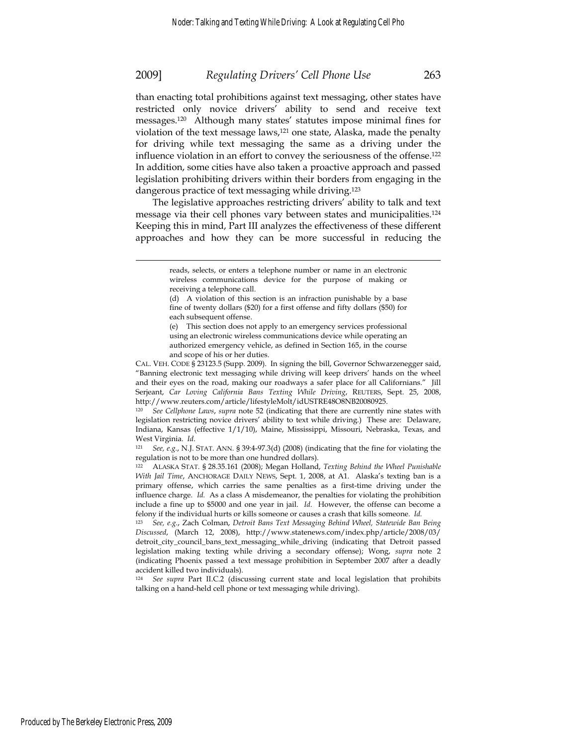than enacting total prohibitions against text messaging, other states have restricted only novice drivers' ability to send and receive text messages.120 Although many states' statutes impose minimal fines for violation of the text message laws,<sup>121</sup> one state, Alaska, made the penalty for driving while text messaging the same as a driving under the influence violation in an effort to convey the seriousness of the offense.122 In addition, some cities have also taken a proactive approach and passed legislation prohibiting drivers within their borders from engaging in the dangerous practice of text messaging while driving.123

The legislative approaches restricting drivers' ability to talk and text message via their cell phones vary between states and municipalities.124 Keeping this in mind, Part III analyzes the effectiveness of these different approaches and how they can be more successful in reducing the

<sup>120</sup> *See Cellphone Laws*, *supra* note 52 (indicating that there are currently nine states with legislation restricting novice drivers' ability to text while driving.) These are: Delaware, Indiana, Kansas (effective 1/1/10), Maine, Mississippi, Missouri, Nebraska, Texas, and West Virginia. *Id*.

reads, selects, or enters a telephone number or name in an electronic wireless communications device for the purpose of making or receiving a telephone call.

<sup>(</sup>d) A violation of this section is an infraction punishable by a base fine of twenty dollars (\$20) for a first offense and fifty dollars (\$50) for each subsequent offense.

<sup>(</sup>e) This section does not apply to an emergency services professional using an electronic wireless communications device while operating an authorized emergency vehicle, as defined in Section 165, in the course and scope of his or her duties.

CAL. VEH. CODE § 23123.5 (Supp. 2009). In signing the bill, Governor Schwarzenegger said, "Banning electronic text messaging while driving will keep drivers' hands on the wheel and their eyes on the road, making our roadways a safer place for all Californians." Jill Serjeant, *Car Loving California Bans Texting While Driving*, REUTERS, Sept. 25, 2008, http://www.reuters.com/article/lifestyleMolt/idUSTRE48O8NB20080925.

<sup>121</sup> *See, e.g.*, N.J. STAT. ANN. § 39:4-97.3(d) (2008) (indicating that the fine for violating the regulation is not to be more than one hundred dollars).

<sup>122</sup> ALASKA STAT. § 28.35.161 (2008); Megan Holland, *Texting Behind the Wheel Punishable With Jail Time*, ANCHORAGE DAILY NEWS, Sept. 1, 2008, at A1. Alaska's texting ban is a primary offense, which carries the same penalties as a first-time driving under the influence charge. *Id.* As a class A misdemeanor, the penalties for violating the prohibition include a fine up to \$5000 and one year in jail. *Id.* However, the offense can become a felony if the individual hurts or kills someone or causes a crash that kills someone. *Id.*

<sup>123</sup> *See, e.g.*, Zach Colman, *Detroit Bans Text Messaging Behind Wheel, Statewide Ban Being Discussed*, (March 12, 2008), http://www.statenews.com/index.php/article/2008/03/ detroit\_city\_council\_bans\_text\_messaging\_while\_driving (indicating that Detroit passed legislation making texting while driving a secondary offense); Wong, *supra* note 2 (indicating Phoenix passed a text message prohibition in September 2007 after a deadly accident killed two individuals).

<sup>124</sup> *See supra* Part II.C.2 (discussing current state and local legislation that prohibits talking on a hand-held cell phone or text messaging while driving).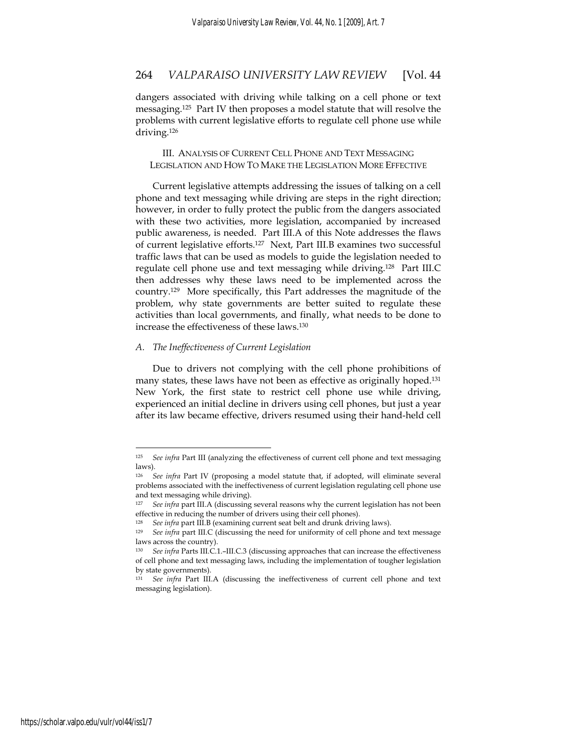dangers associated with driving while talking on a cell phone or text messaging.125 Part IV then proposes a model statute that will resolve the problems with current legislative efforts to regulate cell phone use while driving.126

#### III. ANALYSIS OF CURRENT CELL PHONE AND TEXT MESSAGING LEGISLATION AND HOW TO MAKE THE LEGISLATION MORE EFFECTIVE

Current legislative attempts addressing the issues of talking on a cell phone and text messaging while driving are steps in the right direction; however, in order to fully protect the public from the dangers associated with these two activities, more legislation, accompanied by increased public awareness, is needed. Part III.A of this Note addresses the flaws of current legislative efforts.127 Next, Part III.B examines two successful traffic laws that can be used as models to guide the legislation needed to regulate cell phone use and text messaging while driving.128 Part III.C then addresses why these laws need to be implemented across the country.129 More specifically, this Part addresses the magnitude of the problem, why state governments are better suited to regulate these activities than local governments, and finally, what needs to be done to increase the effectiveness of these laws.130

#### *A. The Ineffectiveness of Current Legislation*

Due to drivers not complying with the cell phone prohibitions of many states, these laws have not been as effective as originally hoped.<sup>131</sup> New York, the first state to restrict cell phone use while driving, experienced an initial decline in drivers using cell phones, but just a year after its law became effective, drivers resumed using their hand-held cell

<sup>125</sup> *See infra* Part III (analyzing the effectiveness of current cell phone and text messaging laws).

<sup>126</sup> *See infra* Part IV (proposing a model statute that, if adopted, will eliminate several problems associated with the ineffectiveness of current legislation regulating cell phone use and text messaging while driving).

<sup>127</sup> *See infra* part III.A (discussing several reasons why the current legislation has not been effective in reducing the number of drivers using their cell phones).<br>
<sup>128</sup> See infra part III.B (examining current seat belt and drunk driving laws).<br>
<sup>129</sup> See infra part III.C (discussing the need for uniformity of cel

laws across the country).

<sup>130</sup> *See infra* Parts III.C.1.–III.C.3 (discussing approaches that can increase the effectiveness of cell phone and text messaging laws, including the implementation of tougher legislation by state governments).

<sup>131</sup> *See infra* Part III.A (discussing the ineffectiveness of current cell phone and text messaging legislation).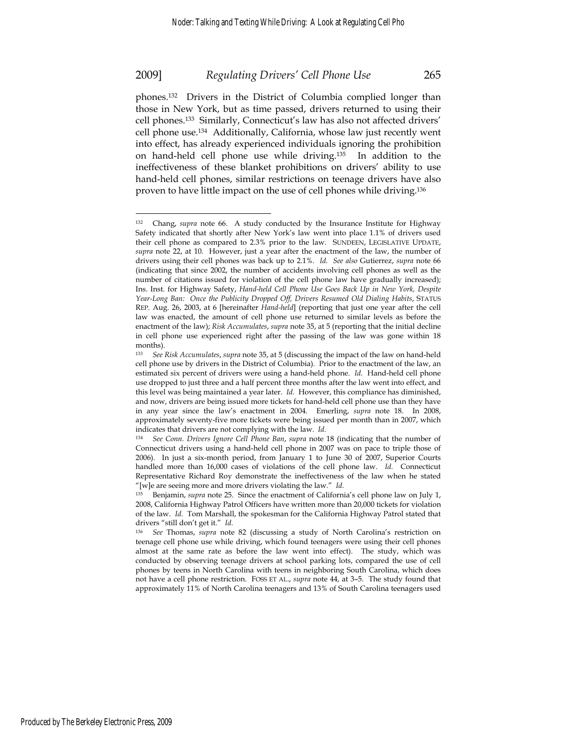$\overline{a}$ 

#### 2009] *Regulating Drivers' Cell Phone Use* 265

phones.132 Drivers in the District of Columbia complied longer than those in New York, but as time passed, drivers returned to using their cell phones.133 Similarly, Connecticut's law has also not affected drivers' cell phone use.134 Additionally, California, whose law just recently went into effect, has already experienced individuals ignoring the prohibition on hand-held cell phone use while driving.135 In addition to the ineffectiveness of these blanket prohibitions on drivers' ability to use hand-held cell phones, similar restrictions on teenage drivers have also proven to have little impact on the use of cell phones while driving.136

<sup>132</sup> Chang, *supra* note 66. A study conducted by the Insurance Institute for Highway Safety indicated that shortly after New York's law went into place 1.1% of drivers used their cell phone as compared to 2.3% prior to the law. SUNDEEN, LEGISLATIVE UPDATE, *supra* note 22, at 10. However, just a year after the enactment of the law, the number of drivers using their cell phones was back up to 2.1%. *Id. See also* Gutierrez, *supra* note 66 (indicating that since 2002, the number of accidents involving cell phones as well as the number of citations issued for violation of the cell phone law have gradually increased); Ins. Inst. for Highway Safety, *Hand-held Cell Phone Use Goes Back Up in New York, Despite*  Year-Long Ban: Once the Publicity Dropped Off, Drivers Resumed Old Dialing Habits, STATUS REP. Aug. 26, 2003, at 6 [hereinafter *Hand-held*] (reporting that just one year after the cell law was enacted, the amount of cell phone use returned to similar levels as before the enactment of the law); *Risk Accumulates*, *supra* note 35, at 5 (reporting that the initial decline in cell phone use experienced right after the passing of the law was gone within 18 months).

<sup>133</sup> *See Risk Accumulates*, *supra* note 35, at 5 (discussing the impact of the law on hand-held cell phone use by drivers in the District of Columbia). Prior to the enactment of the law, an estimated six percent of drivers were using a hand-held phone. *Id.* Hand-held cell phone use dropped to just three and a half percent three months after the law went into effect, and this level was being maintained a year later. *Id.* However, this compliance has diminished, and now, drivers are being issued more tickets for hand-held cell phone use than they have in any year since the law's enactment in 2004. Emerling, *supra* note 18. In 2008, approximately seventy-five more tickets were being issued per month than in 2007, which indicates that drivers are not complying with the law. *Id.* 

<sup>134</sup> *See Conn. Drivers Ignore Cell Phone Ban*, *supra* note 18 (indicating that the number of Connecticut drivers using a hand-held cell phone in 2007 was on pace to triple those of 2006). In just a six-month period, from January 1 to June 30 of 2007, Superior Courts handled more than 16,000 cases of violations of the cell phone law. *Id.* Connecticut Representative Richard Roy demonstrate the ineffectiveness of the law when he stated "[w]e are seeing more and more drivers violating the law." *Id.*

<sup>135</sup> Benjamin, *supra* note 25. Since the enactment of California's cell phone law on July 1, 2008, California Highway Patrol Officers have written more than 20,000 tickets for violation of the law. *Id.* Tom Marshall, the spokesman for the California Highway Patrol stated that drivers "still don't get it." *Id*.

<sup>136</sup> *See* Thomas, *supra* note 82 (discussing a study of North Carolina's restriction on teenage cell phone use while driving, which found teenagers were using their cell phones almost at the same rate as before the law went into effect). The study, which was conducted by observing teenage drivers at school parking lots, compared the use of cell phones by teens in North Carolina with teens in neighboring South Carolina, which does not have a cell phone restriction. FOSS ET AL., *supra* note 44, at 3–5. The study found that approximately 11% of North Carolina teenagers and 13% of South Carolina teenagers used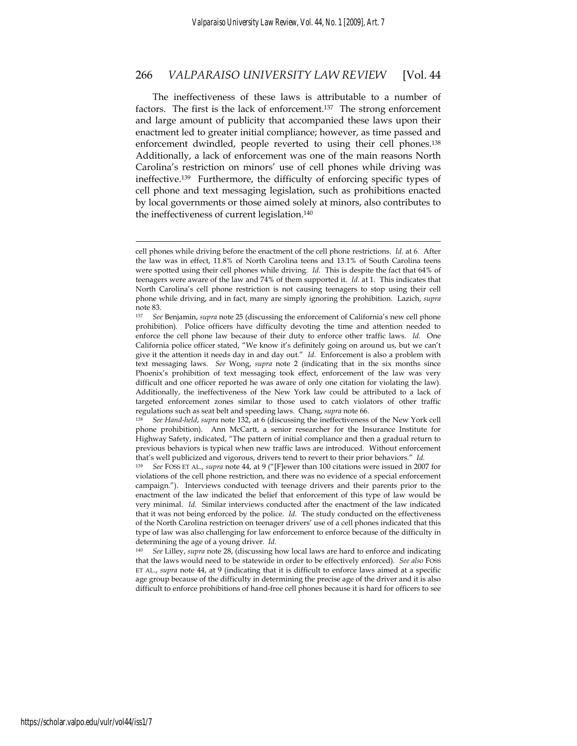The ineffectiveness of these laws is attributable to a number of factors. The first is the lack of enforcement.<sup>137</sup> The strong enforcement and large amount of publicity that accompanied these laws upon their enactment led to greater initial compliance; however, as time passed and enforcement dwindled, people reverted to using their cell phones.<sup>138</sup> Additionally, a lack of enforcement was one of the main reasons North Carolina's restriction on minors' use of cell phones while driving was ineffective.139 Furthermore, the difficulty of enforcing specific types of cell phone and text messaging legislation, such as prohibitions enacted by local governments or those aimed solely at minors, also contributes to the ineffectiveness of current legislation.140

cell phones while driving before the enactment of the cell phone restrictions. *Id.* at 6. After the law was in effect, 11.8% of North Carolina teens and 13.1% of South Carolina teens were spotted using their cell phones while driving. *Id.* This is despite the fact that 64% of teenagers were aware of the law and 74% of them supported it. *Id.* at 1. This indicates that North Carolina's cell phone restriction is not causing teenagers to stop using their cell phone while driving, and in fact, many are simply ignoring the prohibition. Lazich, *supra*  note 83.

<sup>137</sup> *See* Benjamin, *supra* note 25 (discussing the enforcement of California's new cell phone prohibition). Police officers have difficulty devoting the time and attention needed to enforce the cell phone law because of their duty to enforce other traffic laws. *Id.* One California police officer stated, "We know it's definitely going on around us, but we can't give it the attention it needs day in and day out." *Id.* Enforcement is also a problem with text messaging laws. *See* Wong, *supra* note 2 (indicating that in the six months since Phoenix's prohibition of text messaging took effect, enforcement of the law was very difficult and one officer reported he was aware of only one citation for violating the law). Additionally, the ineffectiveness of the New York law could be attributed to a lack of targeted enforcement zones similar to those used to catch violators of other traffic regulations such as seat belt and speeding laws. Chang, *supra* note 66.

<sup>138</sup> *See Hand-held*, *supra* note 132, at 6 (discussing the ineffectiveness of the New York cell phone prohibition). Ann McCartt, a senior researcher for the Insurance Institute for Highway Safety, indicated, "The pattern of initial compliance and then a gradual return to previous behaviors is typical when new traffic laws are introduced. Without enforcement that's well publicized and vigorous, drivers tend to revert to their prior behaviors." *Id.* 

<sup>139</sup> *See* FOSS ET AL., *supra* note 44, at 9 ("[F]ewer than 100 citations were issued in 2007 for violations of the cell phone restriction, and there was no evidence of a special enforcement campaign."). Interviews conducted with teenage drivers and their parents prior to the enactment of the law indicated the belief that enforcement of this type of law would be very minimal. *Id.* Similar interviews conducted after the enactment of the law indicated that it was not being enforced by the police. *Id.* The study conducted on the effectiveness of the North Carolina restriction on teenager drivers' use of a cell phones indicated that this type of law was also challenging for law enforcement to enforce because of the difficulty in determining the age of a young driver. *Id.* 

<sup>140</sup> *See* Lilley, *supra* note 28, (discussing how local laws are hard to enforce and indicating that the laws would need to be statewide in order to be effectively enforced). *See also* FOSS ET AL., *supra* note 44, at 9 (indicating that it is difficult to enforce laws aimed at a specific age group because of the difficulty in determining the precise age of the driver and it is also difficult to enforce prohibitions of hand-free cell phones because it is hard for officers to see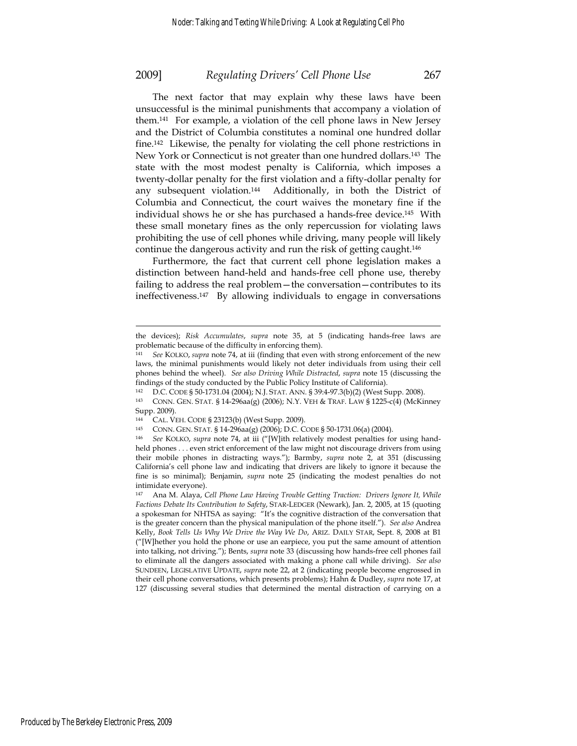The next factor that may explain why these laws have been unsuccessful is the minimal punishments that accompany a violation of them.141 For example, a violation of the cell phone laws in New Jersey and the District of Columbia constitutes a nominal one hundred dollar fine.142 Likewise, the penalty for violating the cell phone restrictions in New York or Connecticut is not greater than one hundred dollars.143 The state with the most modest penalty is California, which imposes a twenty-dollar penalty for the first violation and a fifty-dollar penalty for any subsequent violation.144 Additionally, in both the District of Columbia and Connecticut, the court waives the monetary fine if the individual shows he or she has purchased a hands-free device.145 With these small monetary fines as the only repercussion for violating laws prohibiting the use of cell phones while driving, many people will likely continue the dangerous activity and run the risk of getting caught.146

Furthermore, the fact that current cell phone legislation makes a distinction between hand-held and hands-free cell phone use, thereby failing to address the real problem—the conversation—contributes to its ineffectiveness.147 By allowing individuals to engage in conversations

the devices); *Risk Accumulates*, *supra* note 35, at 5 (indicating hands-free laws are problematic because of the difficulty in enforcing them).

<sup>141</sup> *See* KOLKO, *supra* note 74, at iii (finding that even with strong enforcement of the new laws, the minimal punishments would likely not deter individuals from using their cell phones behind the wheel). *See also Driving While Distracted*, *supra* note 15 (discussing the findings of the study conducted by the Public Policy Institute of California).

<sup>142</sup> D.C. CODE § 50-1731.04 (2004); N.J. STAT. ANN. § 39:4-97.3(b)(2) (West Supp. 2008). 143 CONN. GEN. STAT. § 14-296aa(g) (2006); N.Y. VEH & TRAF. LAW § 1225-c(4) (McKinney Supp. 2009).

<sup>144</sup> CAL. VEH. CODE § 23123(b) (West Supp. 2009).

<sup>145</sup> CONN. GEN. STAT. § 14-296aa(g) (2006); D.C. CODE § 50-1731.06(a) (2004). 146 *See* KOLKO, *supra* note 74, at iii ("[W]ith relatively modest penalties for using handheld phones . . . even strict enforcement of the law might not discourage drivers from using their mobile phones in distracting ways."); Barmby, *supra* note 2, at 351 (discussing California's cell phone law and indicating that drivers are likely to ignore it because the fine is so minimal); Benjamin, *supra* note 25 (indicating the modest penalties do not intimidate everyone).

<sup>147</sup> Ana M. Alaya, *Cell Phone Law Having Trouble Getting Traction: Drivers Ignore It, While Factions Debate Its Contribution to Safety*, STAR-LEDGER (Newark), Jan. 2, 2005, at 15 (quoting a spokesman for NHTSA as saying: "It's the cognitive distraction of the conversation that is the greater concern than the physical manipulation of the phone itself."). *See also* Andrea Kelly, *Book Tells Us Why We Drive the Way We Do*, ARIZ. DAILY STAR, Sept. 8, 2008 at B1 ("[W]hether you hold the phone or use an earpiece, you put the same amount of attention into talking, not driving."); Bents, *supra* note 33 (discussing how hands-free cell phones fail to eliminate all the dangers associated with making a phone call while driving). *See also* SUNDEEN, LEGISLATIVE UPDATE, *supra* note 22, at 2 (indicating people become engrossed in their cell phone conversations, which presents problems); Hahn & Dudley, *supra* note 17, at 127 (discussing several studies that determined the mental distraction of carrying on a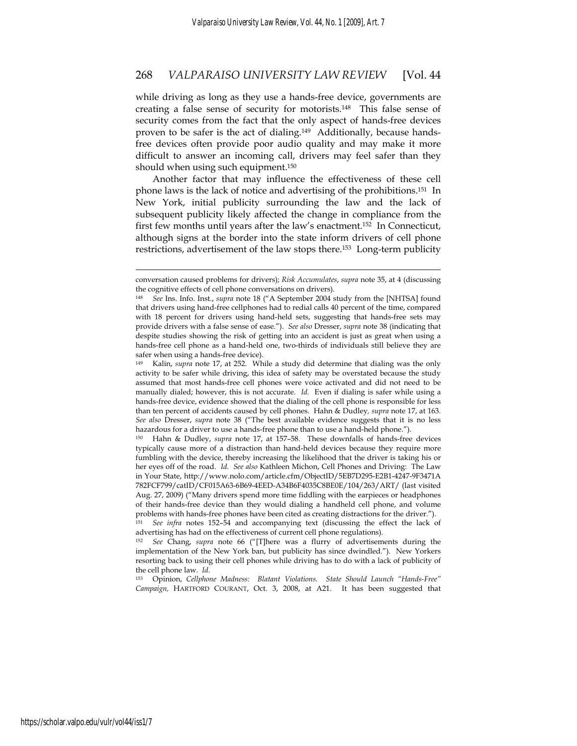while driving as long as they use a hands-free device, governments are creating a false sense of security for motorists.148 This false sense of security comes from the fact that the only aspect of hands-free devices proven to be safer is the act of dialing.149 Additionally, because handsfree devices often provide poor audio quality and may make it more difficult to answer an incoming call, drivers may feel safer than they should when using such equipment.<sup>150</sup>

Another factor that may influence the effectiveness of these cell phone laws is the lack of notice and advertising of the prohibitions.151 In New York, initial publicity surrounding the law and the lack of subsequent publicity likely affected the change in compliance from the first few months until years after the law's enactment.152 In Connecticut, although signs at the border into the state inform drivers of cell phone restrictions, advertisement of the law stops there.153 Long-term publicity

153 Opinion, *Cellphone Madness: Blatant Violations. State Should Launch "Hands-Free" Campaign,* HARTFORD COURANT, Oct. 3, 2008, at A21. It has been suggested that

conversation caused problems for drivers); *Risk Accumulates*, *supra* note 35, at 4 (discussing the cognitive effects of cell phone conversations on drivers).

<sup>148</sup> *See* Ins. Info. Inst., *supra* note 18 ("A September 2004 study from the [NHTSA] found that drivers using hand-free cellphones had to redial calls 40 percent of the time, compared with 18 percent for drivers using hand-held sets, suggesting that hands-free sets may provide drivers with a false sense of ease."). *See also* Dresser, *supra* note 38 (indicating that despite studies showing the risk of getting into an accident is just as great when using a hands-free cell phone as a hand-held one, two-thirds of individuals still believe they are safer when using a hands-free device).

<sup>149</sup> Kalin, *supra* note 17, at 252. While a study did determine that dialing was the only activity to be safer while driving, this idea of safety may be overstated because the study assumed that most hands-free cell phones were voice activated and did not need to be manually dialed; however, this is not accurate. *Id.* Even if dialing is safer while using a hands-free device, evidence showed that the dialing of the cell phone is responsible for less than ten percent of accidents caused by cell phones. Hahn & Dudley*, supra* note 17, at 163. *See also* Dresser, *supra* note 38 ("The best available evidence suggests that it is no less hazardous for a driver to use a hands-free phone than to use a hand-held phone.").

<sup>150</sup> Hahn & Dudley, *supra* note 17, at 157–58. These downfalls of hands-free devices typically cause more of a distraction than hand-held devices because they require more fumbling with the device, thereby increasing the likelihood that the driver is taking his or her eyes off of the road. *Id. See also* Kathleen Michon, Cell Phones and Driving: The Law in Your State, http://www.nolo.com/article.cfm/ObjectID/5EB7D295-E2B1-4247-9F3471A 782FCF799/catID/CF015A63-6B69-4EED-A34B6F4035C8BE0E/104/263/ART/ (last visited Aug. 27, 2009) ("Many drivers spend more time fiddling with the earpieces or headphones of their hands-free device than they would dialing a handheld cell phone, and volume problems with hands-free phones have been cited as creating distractions for the driver."). 151 *See infra* notes 152–54 and accompanying text (discussing the effect the lack of advertising has had on the effectiveness of current cell phone regulations).

<sup>152</sup> *See* Chang, *supra* note 66 ("[T]here was a flurry of advertisements during the implementation of the New York ban, but publicity has since dwindled."). New Yorkers resorting back to using their cell phones while driving has to do with a lack of publicity of the cell phone law. *Id.*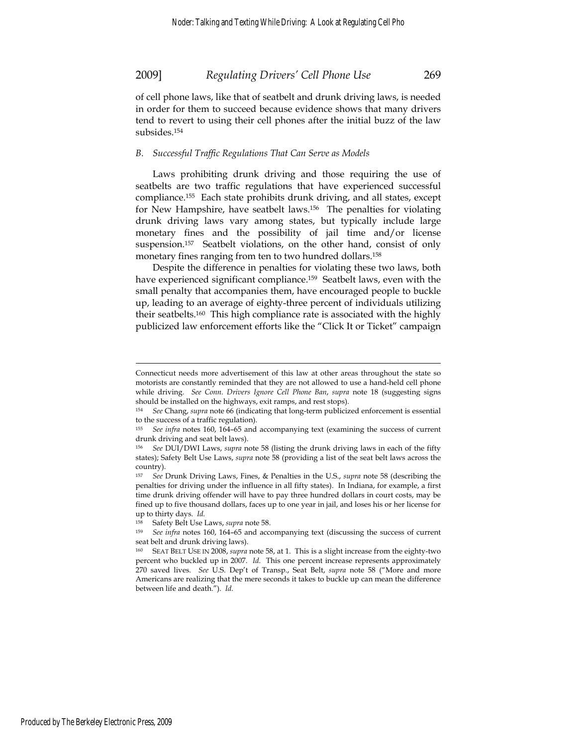of cell phone laws, like that of seatbelt and drunk driving laws, is needed in order for them to succeed because evidence shows that many drivers tend to revert to using their cell phones after the initial buzz of the law subsides.154

#### *B. Successful Traffic Regulations That Can Serve as Models*

Laws prohibiting drunk driving and those requiring the use of seatbelts are two traffic regulations that have experienced successful compliance.155 Each state prohibits drunk driving, and all states, except for New Hampshire, have seatbelt laws.156 The penalties for violating drunk driving laws vary among states, but typically include large monetary fines and the possibility of jail time and/or license suspension.<sup>157</sup> Seatbelt violations, on the other hand, consist of only monetary fines ranging from ten to two hundred dollars.<sup>158</sup>

Despite the difference in penalties for violating these two laws, both have experienced significant compliance.<sup>159</sup> Seatbelt laws, even with the small penalty that accompanies them, have encouraged people to buckle up, leading to an average of eighty-three percent of individuals utilizing their seatbelts.160 This high compliance rate is associated with the highly publicized law enforcement efforts like the "Click It or Ticket" campaign

Connecticut needs more advertisement of this law at other areas throughout the state so motorists are constantly reminded that they are not allowed to use a hand-held cell phone while driving. *See Conn. Drivers Ignore Cell Phone Ban*, *supra* note 18 (suggesting signs should be installed on the highways, exit ramps, and rest stops).

<sup>154</sup> *See* Chang, *supra* note 66 (indicating that long-term publicized enforcement is essential to the success of a traffic regulation).

<sup>155</sup> *See infra* notes 160, 164–65 and accompanying text (examining the success of current drunk driving and seat belt laws).

<sup>156</sup> *See* DUI/DWI Laws, *supra* note 58 (listing the drunk driving laws in each of the fifty states); Safety Belt Use Laws, *supra* note 58 (providing a list of the seat belt laws across the country).

<sup>157</sup> *See* Drunk Driving Laws, Fines, & Penalties in the U.S., *supra* note 58 (describing the penalties for driving under the influence in all fifty states). In Indiana, for example, a first time drunk driving offender will have to pay three hundred dollars in court costs, may be fined up to five thousand dollars, faces up to one year in jail, and loses his or her license for up to thirty days. *Id.* 

<sup>158</sup> Safety Belt Use Laws, *supra* note 58. 159 *See infra* notes 160, 164–65 and accompanying text (discussing the success of current seat belt and drunk driving laws).

<sup>160</sup> SEAT BELT USE IN 2008, *supra* note 58, at 1. This is a slight increase from the eighty-two percent who buckled up in 2007. *Id.* This one percent increase represents approximately 270 saved lives. *See* U.S. Dep't of Transp., Seat Belt, *supra* note 58 ("More and more Americans are realizing that the mere seconds it takes to buckle up can mean the difference between life and death."). *Id.*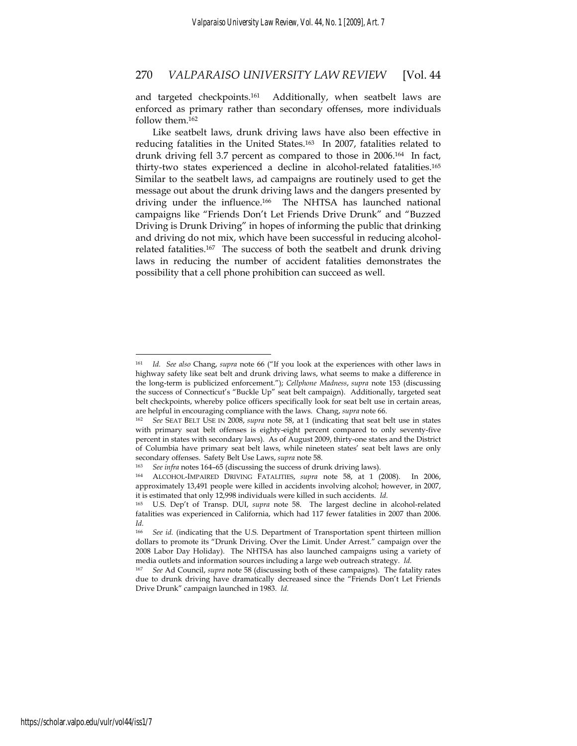and targeted checkpoints.161 Additionally, when seatbelt laws are enforced as primary rather than secondary offenses, more individuals follow them.162

Like seatbelt laws, drunk driving laws have also been effective in reducing fatalities in the United States.163 In 2007, fatalities related to drunk driving fell 3.7 percent as compared to those in 2006.164 In fact, thirty-two states experienced a decline in alcohol-related fatalities.165 Similar to the seatbelt laws, ad campaigns are routinely used to get the message out about the drunk driving laws and the dangers presented by driving under the influence.<sup>166</sup> The NHTSA has launched national campaigns like "Friends Don't Let Friends Drive Drunk" and "Buzzed Driving is Drunk Driving" in hopes of informing the public that drinking and driving do not mix, which have been successful in reducing alcoholrelated fatalities.<sup>167</sup> The success of both the seatbelt and drunk driving laws in reducing the number of accident fatalities demonstrates the possibility that a cell phone prohibition can succeed as well.

<sup>161</sup> *Id. See also* Chang, *supra* note 66 ("If you look at the experiences with other laws in highway safety like seat belt and drunk driving laws, what seems to make a difference in the long-term is publicized enforcement."); *Cellphone Madness*, *supra* note 153 (discussing the success of Connecticut's "Buckle Up" seat belt campaign). Additionally, targeted seat belt checkpoints, whereby police officers specifically look for seat belt use in certain areas, are helpful in encouraging compliance with the laws. Chang, *supra* note 66.

<sup>162</sup> *See* SEAT BELT USE IN 2008, *supra* note 58, at 1 (indicating that seat belt use in states with primary seat belt offenses is eighty-eight percent compared to only seventy-five percent in states with secondary laws). As of August 2009, thirty-one states and the District of Columbia have primary seat belt laws, while nineteen states' seat belt laws are only secondary offenses. Safety Belt Use Laws, *supra* note 58. 163 *See infra* notes 164–65 (discussing the success of drunk driving laws).

<sup>164</sup> ALCOHOL-IMPAIRED DRIVING FATALITIES, *supra* note 58, at 1 (2008). In 2006, approximately 13,491 people were killed in accidents involving alcohol; however, in 2007, it is estimated that only 12,998 individuals were killed in such accidents. *Id.*

<sup>165</sup> U.S. Dep't of Transp. DUI, *supra* note 58. The largest decline in alcohol-related fatalities was experienced in California, which had 117 fewer fatalities in 2007 than 2006. *Id.*

See id. (indicating that the U.S. Department of Transportation spent thirteen million dollars to promote its "Drunk Driving. Over the Limit. Under Arrest." campaign over the 2008 Labor Day Holiday). The NHTSA has also launched campaigns using a variety of media outlets and information sources including a large web outreach strategy. *Id.*

<sup>167</sup> *See* Ad Council, *supra* note 58 (discussing both of these campaigns). The fatality rates due to drunk driving have dramatically decreased since the "Friends Don't Let Friends Drive Drunk" campaign launched in 1983. *Id.*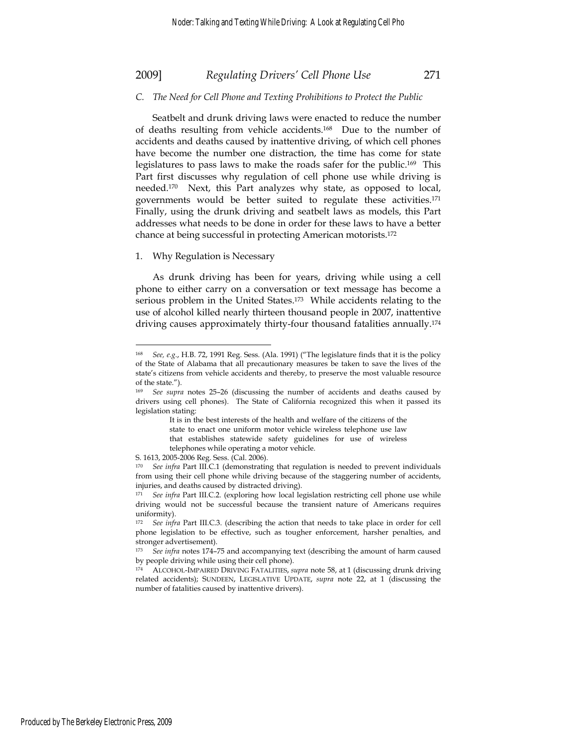#### *C. The Need for Cell Phone and Texting Prohibitions to Protect the Public*

Seatbelt and drunk driving laws were enacted to reduce the number of deaths resulting from vehicle accidents.168 Due to the number of accidents and deaths caused by inattentive driving, of which cell phones have become the number one distraction, the time has come for state legislatures to pass laws to make the roads safer for the public.169 This Part first discusses why regulation of cell phone use while driving is needed.170 Next, this Part analyzes why state, as opposed to local, governments would be better suited to regulate these activities.171 Finally, using the drunk driving and seatbelt laws as models, this Part addresses what needs to be done in order for these laws to have a better chance at being successful in protecting American motorists.172

#### 1. Why Regulation is Necessary

 $\overline{a}$ 

As drunk driving has been for years, driving while using a cell phone to either carry on a conversation or text message has become a serious problem in the United States.<sup>173</sup> While accidents relating to the use of alcohol killed nearly thirteen thousand people in 2007, inattentive driving causes approximately thirty-four thousand fatalities annually.174

<sup>168</sup> *See, e.g.*, H.B. 72, 1991 Reg. Sess. (Ala. 1991) ("The legislature finds that it is the policy of the State of Alabama that all precautionary measures be taken to save the lives of the state's citizens from vehicle accidents and thereby, to preserve the most valuable resource of the state.").

<sup>169</sup> *See supra* notes 25–26 (discussing the number of accidents and deaths caused by drivers using cell phones). The State of California recognized this when it passed its legislation stating:

It is in the best interests of the health and welfare of the citizens of the state to enact one uniform motor vehicle wireless telephone use law that establishes statewide safety guidelines for use of wireless telephones while operating a motor vehicle.

S. 1613, 2005-2006 Reg. Sess. (Cal. 2006).

<sup>170</sup> *See infra* Part III.C.1 (demonstrating that regulation is needed to prevent individuals from using their cell phone while driving because of the staggering number of accidents, injuries, and deaths caused by distracted driving).

<sup>171</sup> *See infra* Part III.C.2. (exploring how local legislation restricting cell phone use while driving would not be successful because the transient nature of Americans requires uniformity).

<sup>172</sup> *See infra* Part III.C.3. (describing the action that needs to take place in order for cell phone legislation to be effective, such as tougher enforcement, harsher penalties, and stronger advertisement).<br><sup>173</sup> See infra notes 174-

<sup>173</sup> *See infra* notes 174–75 and accompanying text (describing the amount of harm caused by people driving while using their cell phone).

<sup>174</sup> ALCOHOL-IMPAIRED DRIVING FATALITIES, *supra* note 58, at 1 (discussing drunk driving related accidents); SUNDEEN, LEGISLATIVE UPDATE, *supra* note 22, at 1 (discussing the number of fatalities caused by inattentive drivers).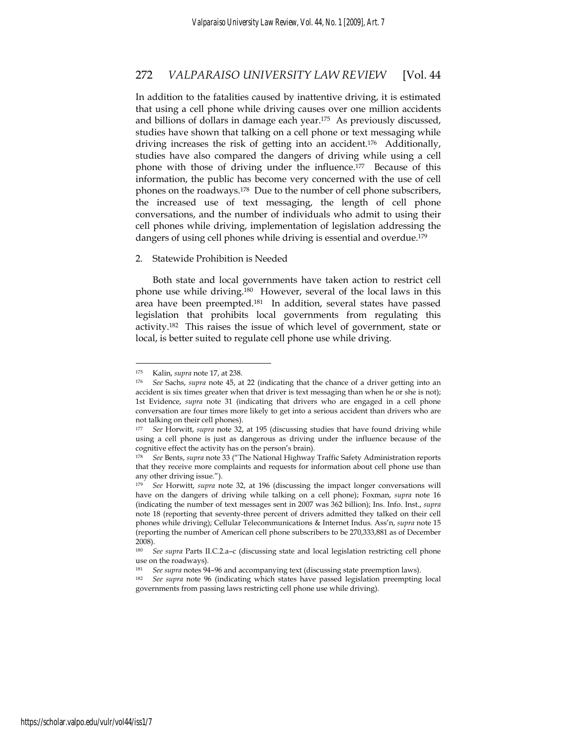In addition to the fatalities caused by inattentive driving, it is estimated that using a cell phone while driving causes over one million accidents and billions of dollars in damage each year.175 As previously discussed, studies have shown that talking on a cell phone or text messaging while driving increases the risk of getting into an accident.<sup>176</sup> Additionally, studies have also compared the dangers of driving while using a cell phone with those of driving under the influence.177 Because of this information, the public has become very concerned with the use of cell phones on the roadways.178 Due to the number of cell phone subscribers, the increased use of text messaging, the length of cell phone conversations, and the number of individuals who admit to using their cell phones while driving, implementation of legislation addressing the dangers of using cell phones while driving is essential and overdue.179

#### 2. Statewide Prohibition is Needed

Both state and local governments have taken action to restrict cell phone use while driving.180 However, several of the local laws in this area have been preempted.<sup>181</sup> In addition, several states have passed legislation that prohibits local governments from regulating this activity.182 This raises the issue of which level of government, state or local, is better suited to regulate cell phone use while driving.

<sup>175</sup> Kalin, *supra* note 17, at 238.

<sup>176</sup> *See* Sachs, *supra* note 45, at 22 (indicating that the chance of a driver getting into an accident is six times greater when that driver is text messaging than when he or she is not); 1st Evidence, *supra* note 31 (indicating that drivers who are engaged in a cell phone conversation are four times more likely to get into a serious accident than drivers who are not talking on their cell phones).

<sup>177</sup> *See* Horwitt, *supra* note 32, at 195 (discussing studies that have found driving while using a cell phone is just as dangerous as driving under the influence because of the cognitive effect the activity has on the person's brain).

<sup>178</sup> *See* Bents, *supra* note 33 ("The National Highway Traffic Safety Administration reports that they receive more complaints and requests for information about cell phone use than any other driving issue.").

<sup>179</sup> *See* Horwitt, *supra* note 32, at 196 (discussing the impact longer conversations will have on the dangers of driving while talking on a cell phone); Foxman, *supra* note 16 (indicating the number of text messages sent in 2007 was 362 billion); Ins. Info. Inst., *supra*  note 18 (reporting that seventy-three percent of drivers admitted they talked on their cell phones while driving); Cellular Telecommunications & Internet Indus. Ass'n, *supra* note 15 (reporting the number of American cell phone subscribers to be 270,333,881 as of December 2008).

<sup>180</sup> *See supra* Parts II.C.2.a–c (discussing state and local legislation restricting cell phone use on the roadways).

<sup>181</sup> *See supra* notes 94–96 and accompanying text (discussing state preemption laws).

<sup>182</sup> *See supra* note 96 (indicating which states have passed legislation preempting local governments from passing laws restricting cell phone use while driving).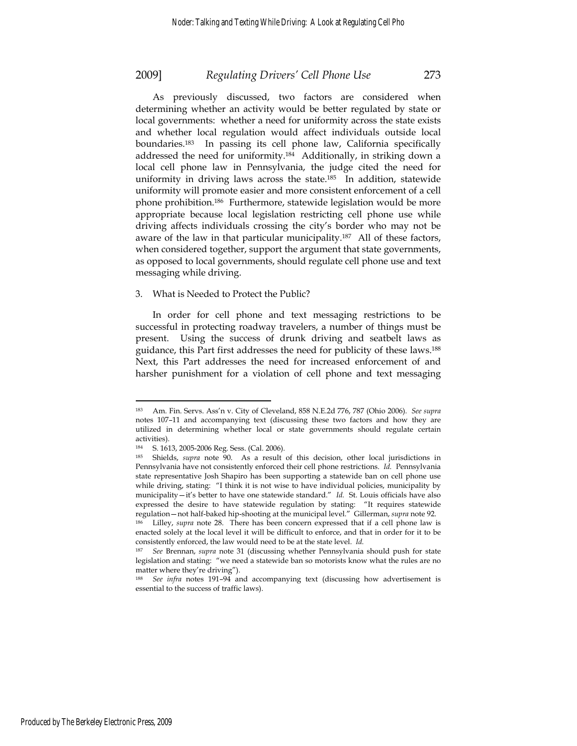As previously discussed, two factors are considered when determining whether an activity would be better regulated by state or local governments: whether a need for uniformity across the state exists and whether local regulation would affect individuals outside local boundaries.183 In passing its cell phone law, California specifically addressed the need for uniformity.184 Additionally, in striking down a local cell phone law in Pennsylvania, the judge cited the need for uniformity in driving laws across the state.185 In addition, statewide uniformity will promote easier and more consistent enforcement of a cell phone prohibition.186 Furthermore, statewide legislation would be more appropriate because local legislation restricting cell phone use while driving affects individuals crossing the city's border who may not be aware of the law in that particular municipality.187 All of these factors, when considered together, support the argument that state governments, as opposed to local governments, should regulate cell phone use and text messaging while driving.

#### 3. What is Needed to Protect the Public?

In order for cell phone and text messaging restrictions to be successful in protecting roadway travelers, a number of things must be present. Using the success of drunk driving and seatbelt laws as guidance, this Part first addresses the need for publicity of these laws.188 Next, this Part addresses the need for increased enforcement of and harsher punishment for a violation of cell phone and text messaging

<sup>183</sup> Am. Fin. Servs. Ass'n v. City of Cleveland, 858 N.E.2d 776, 787 (Ohio 2006). *See supra*  notes 107–11 and accompanying text (discussing these two factors and how they are utilized in determining whether local or state governments should regulate certain activities).

<sup>184</sup> S. 1613, 2005-2006 Reg. Sess. (Cal. 2006).

<sup>185</sup> Shields, *supra* note 90. As a result of this decision, other local jurisdictions in Pennsylvania have not consistently enforced their cell phone restrictions. *Id.* Pennsylvania state representative Josh Shapiro has been supporting a statewide ban on cell phone use while driving, stating: "I think it is not wise to have individual policies, municipality by municipality—it's better to have one statewide standard." *Id.* St. Louis officials have also expressed the desire to have statewide regulation by stating: "It requires statewide regulation—not half-baked hip-shooting at the municipal level." Gillerman, *supra* note 92. 186 Lilley, *supra* note 28. There has been concern expressed that if a cell phone law is

enacted solely at the local level it will be difficult to enforce, and that in order for it to be consistently enforced, the law would need to be at the state level. *Id.*

<sup>187</sup> *See* Brennan, *supra* note 31 (discussing whether Pennsylvania should push for state legislation and stating: "we need a statewide ban so motorists know what the rules are no matter where they're driving").

<sup>188</sup> *See infra* notes 191–94 and accompanying text (discussing how advertisement is essential to the success of traffic laws).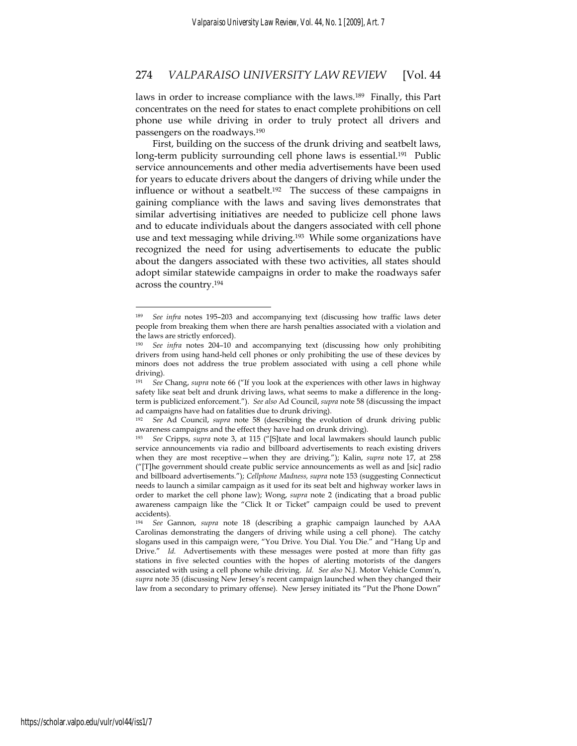laws in order to increase compliance with the laws.<sup>189</sup> Finally, this Part concentrates on the need for states to enact complete prohibitions on cell phone use while driving in order to truly protect all drivers and passengers on the roadways.190

First, building on the success of the drunk driving and seatbelt laws, long-term publicity surrounding cell phone laws is essential.<sup>191</sup> Public service announcements and other media advertisements have been used for years to educate drivers about the dangers of driving while under the influence or without a seatbelt.<sup>192</sup> The success of these campaigns in gaining compliance with the laws and saving lives demonstrates that similar advertising initiatives are needed to publicize cell phone laws and to educate individuals about the dangers associated with cell phone use and text messaging while driving.<sup>193</sup> While some organizations have recognized the need for using advertisements to educate the public about the dangers associated with these two activities, all states should adopt similar statewide campaigns in order to make the roadways safer across the country.194

<sup>189</sup> *See infra* notes 195–203 and accompanying text (discussing how traffic laws deter people from breaking them when there are harsh penalties associated with a violation and the laws are strictly enforced).

<sup>190</sup> *See infra* notes 204–10 and accompanying text (discussing how only prohibiting drivers from using hand-held cell phones or only prohibiting the use of these devices by minors does not address the true problem associated with using a cell phone while driving).

<sup>191</sup> *See* Chang, *supra* note 66 ("If you look at the experiences with other laws in highway safety like seat belt and drunk driving laws, what seems to make a difference in the longterm is publicized enforcement."). *See also* Ad Council, *supra* note 58 (discussing the impact ad campaigns have had on fatalities due to drunk driving).

<sup>192</sup> *See* Ad Council, *supra* note 58 (describing the evolution of drunk driving public awareness campaigns and the effect they have had on drunk driving).

<sup>193</sup> *See* Cripps, *supra* note 3, at 115 ("[S]tate and local lawmakers should launch public service announcements via radio and billboard advertisements to reach existing drivers when they are most receptive—when they are driving."); Kalin, *supra* note 17, at 258 ("[T]he government should create public service announcements as well as and [sic] radio and billboard advertisements."); *Cellphone Madness, supra* note 153 (suggesting Connecticut needs to launch a similar campaign as it used for its seat belt and highway worker laws in order to market the cell phone law); Wong, *supra* note 2 (indicating that a broad public awareness campaign like the "Click It or Ticket" campaign could be used to prevent accidents).

<sup>194</sup> *See* Gannon, *supra* note 18 (describing a graphic campaign launched by AAA Carolinas demonstrating the dangers of driving while using a cell phone). The catchy slogans used in this campaign were, "You Drive. You Dial. You Die." and "Hang Up and Drive." *Id.* Advertisements with these messages were posted at more than fifty gas stations in five selected counties with the hopes of alerting motorists of the dangers associated with using a cell phone while driving. *Id. See also* N.J. Motor Vehicle Comm'n, *supra* note 35 (discussing New Jersey's recent campaign launched when they changed their law from a secondary to primary offense). New Jersey initiated its "Put the Phone Down"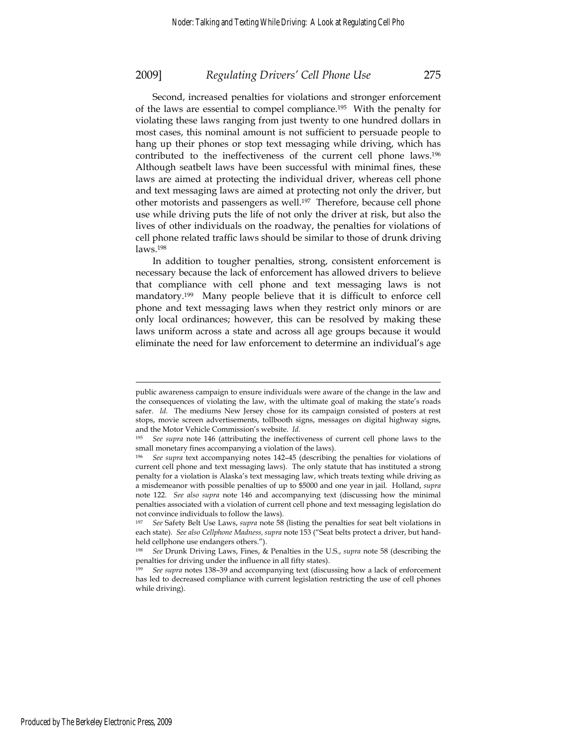Second, increased penalties for violations and stronger enforcement of the laws are essential to compel compliance.195 With the penalty for violating these laws ranging from just twenty to one hundred dollars in most cases, this nominal amount is not sufficient to persuade people to hang up their phones or stop text messaging while driving, which has contributed to the ineffectiveness of the current cell phone laws.196 Although seatbelt laws have been successful with minimal fines, these laws are aimed at protecting the individual driver, whereas cell phone and text messaging laws are aimed at protecting not only the driver, but other motorists and passengers as well.197 Therefore, because cell phone use while driving puts the life of not only the driver at risk, but also the lives of other individuals on the roadway, the penalties for violations of cell phone related traffic laws should be similar to those of drunk driving laws.198

In addition to tougher penalties, strong, consistent enforcement is necessary because the lack of enforcement has allowed drivers to believe that compliance with cell phone and text messaging laws is not mandatory.199 Many people believe that it is difficult to enforce cell phone and text messaging laws when they restrict only minors or are only local ordinances; however, this can be resolved by making these laws uniform across a state and across all age groups because it would eliminate the need for law enforcement to determine an individual's age

public awareness campaign to ensure individuals were aware of the change in the law and the consequences of violating the law, with the ultimate goal of making the state's roads safer. *Id.* The mediums New Jersey chose for its campaign consisted of posters at rest stops, movie screen advertisements, tollbooth signs, messages on digital highway signs, and the Motor Vehicle Commission's website. *Id.* 

<sup>195</sup> *See supra* note 146 (attributing the ineffectiveness of current cell phone laws to the small monetary fines accompanying a violation of the laws).

<sup>196</sup> *See supra* text accompanying notes 142–45 (describing the penalties for violations of current cell phone and text messaging laws). The only statute that has instituted a strong penalty for a violation is Alaska's text messaging law, which treats texting while driving as a misdemeanor with possible penalties of up to \$5000 and one year in jail. Holland, *supra*  note 122. *See also supra* note 146 and accompanying text (discussing how the minimal penalties associated with a violation of current cell phone and text messaging legislation do not convince individuals to follow the laws). 197 *See* Safety Belt Use Laws, *supra* note 58 (listing the penalties for seat belt violations in

each state). *See also Cellphone Madness, supra* note 153 ("Seat belts protect a driver, but handheld cellphone use endangers others.").

<sup>198</sup> *See* Drunk Driving Laws, Fines, & Penalties in the U.S., *supra* note 58 (describing the penalties for driving under the influence in all fifty states).

<sup>199</sup> *See supra* notes 138–39 and accompanying text (discussing how a lack of enforcement has led to decreased compliance with current legislation restricting the use of cell phones while driving).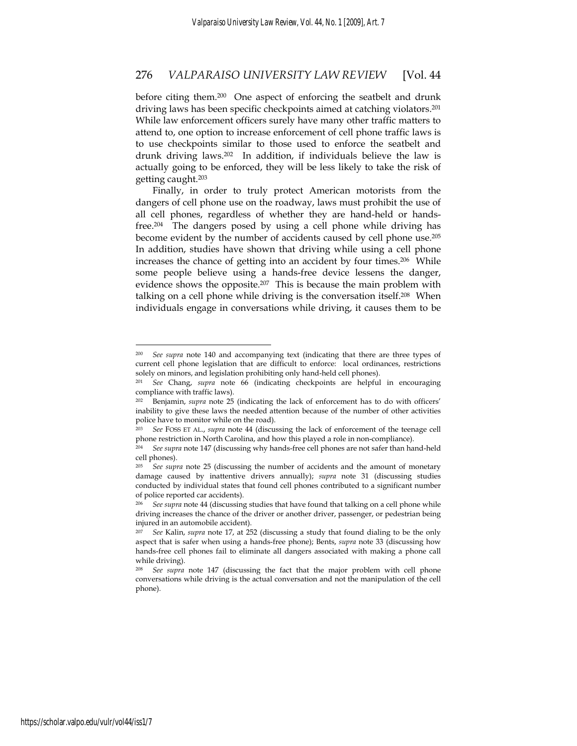before citing them.<sup>200</sup> One aspect of enforcing the seatbelt and drunk driving laws has been specific checkpoints aimed at catching violators.201 While law enforcement officers surely have many other traffic matters to attend to, one option to increase enforcement of cell phone traffic laws is to use checkpoints similar to those used to enforce the seatbelt and drunk driving laws.202 In addition, if individuals believe the law is actually going to be enforced, they will be less likely to take the risk of getting caught.203

Finally, in order to truly protect American motorists from the dangers of cell phone use on the roadway, laws must prohibit the use of all cell phones, regardless of whether they are hand-held or handsfree.204 The dangers posed by using a cell phone while driving has become evident by the number of accidents caused by cell phone use.205 In addition, studies have shown that driving while using a cell phone increases the chance of getting into an accident by four times.<sup>206</sup> While some people believe using a hands-free device lessens the danger, evidence shows the opposite.<sup>207</sup> This is because the main problem with talking on a cell phone while driving is the conversation itself.208 When individuals engage in conversations while driving, it causes them to be

<sup>200</sup> *See supra* note 140 and accompanying text (indicating that there are three types of current cell phone legislation that are difficult to enforce: local ordinances, restrictions solely on minors, and legislation prohibiting only hand-held cell phones).

<sup>201</sup> *See* Chang, *supra* note 66 (indicating checkpoints are helpful in encouraging compliance with traffic laws).

<sup>202</sup> Benjamin, *supra* note 25 (indicating the lack of enforcement has to do with officers' inability to give these laws the needed attention because of the number of other activities police have to monitor while on the road).

<sup>203</sup> *See* FOSS ET AL., *supra* note 44 (discussing the lack of enforcement of the teenage cell phone restriction in North Carolina, and how this played a role in non-compliance).

<sup>204</sup> *See supra* note 147 (discussing why hands-free cell phones are not safer than hand-held cell phones).

<sup>205</sup> *See supra* note 25 (discussing the number of accidents and the amount of monetary damage caused by inattentive drivers annually); *supra* note 31 (discussing studies conducted by individual states that found cell phones contributed to a significant number of police reported car accidents).

<sup>206</sup> *See supra* note 44 (discussing studies that have found that talking on a cell phone while driving increases the chance of the driver or another driver, passenger, or pedestrian being injured in an automobile accident).

<sup>207</sup> *See* Kalin, *supra* note 17, at 252 (discussing a study that found dialing to be the only aspect that is safer when using a hands-free phone); Bents, *supra* note 33 (discussing how hands-free cell phones fail to eliminate all dangers associated with making a phone call while driving).

<sup>208</sup> *See supra* note 147 (discussing the fact that the major problem with cell phone conversations while driving is the actual conversation and not the manipulation of the cell phone).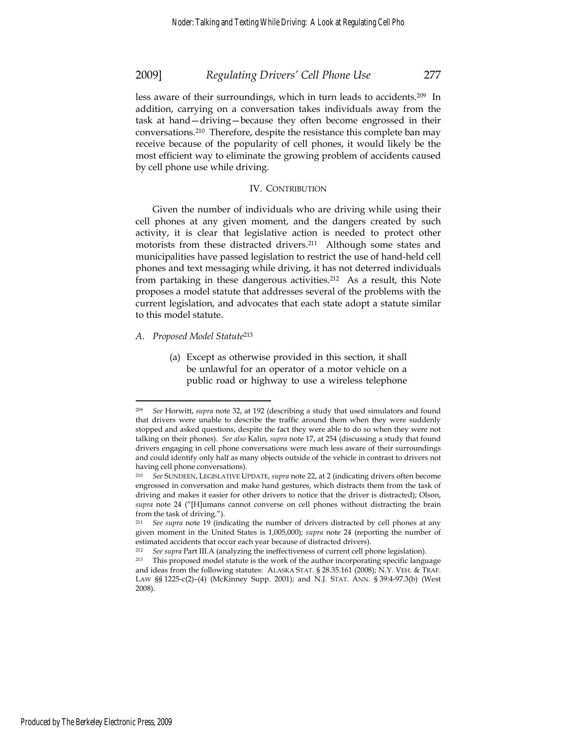less aware of their surroundings, which in turn leads to accidents.209 In addition, carrying on a conversation takes individuals away from the task at hand—driving—because they often become engrossed in their conversations.210 Therefore, despite the resistance this complete ban may receive because of the popularity of cell phones, it would likely be the most efficient way to eliminate the growing problem of accidents caused by cell phone use while driving.

#### IV. CONTRIBUTION

Given the number of individuals who are driving while using their cell phones at any given moment, and the dangers created by such activity, it is clear that legislative action is needed to protect other motorists from these distracted drivers.<sup>211</sup> Although some states and municipalities have passed legislation to restrict the use of hand-held cell phones and text messaging while driving, it has not deterred individuals from partaking in these dangerous activities.<sup>212</sup> As a result, this Note proposes a model statute that addresses several of the problems with the current legislation, and advocates that each state adopt a statute similar to this model statute.

#### *A. Proposed Model Statute*<sup>213</sup>

 $\overline{a}$ 

(a) Except as otherwise provided in this section, it shall be unlawful for an operator of a motor vehicle on a public road or highway to use a wireless telephone

<sup>209</sup> *See* Horwitt, *supra* note 32, at 192 (describing a study that used simulators and found that drivers were unable to describe the traffic around them when they were suddenly stopped and asked questions, despite the fact they were able to do so when they were not talking on their phones). *See also* Kalin, *supra* note 17, at 254 (discussing a study that found drivers engaging in cell phone conversations were much less aware of their surroundings and could identify only half as many objects outside of the vehicle in contrast to drivers not having cell phone conversations).

<sup>210</sup> *See* SUNDEEN, LEGISLATIVE UPDATE, *supra* note 22, at 2 (indicating drivers often become engrossed in conversation and make hand gestures, which distracts them from the task of driving and makes it easier for other drivers to notice that the driver is distracted); Olson, *supra* note 24 ("[H]umans cannot converse on cell phones without distracting the brain from the task of driving.").

<sup>211</sup> *See supra* note 19 (indicating the number of drivers distracted by cell phones at any given moment in the United States is 1,005,000); *supra* note 24 (reporting the number of estimated accidents that occur each year because of distracted drivers).

<sup>&</sup>lt;sup>212</sup> *See supra Part III.A (analyzing the ineffectiveness of current cell phone legislation).*<br><sup>213</sup> This proposed model statute is the work of the author incorporating specific language and ideas from the following statutes: ALASKA STAT. § 28.35.161 (2008); N.Y. VEH. & TRAF. LAW §§ 1225-c(2)–(4) (McKinney Supp. 2001); and N.J. STAT. ANN. § 39:4-97.3(b) (West 2008).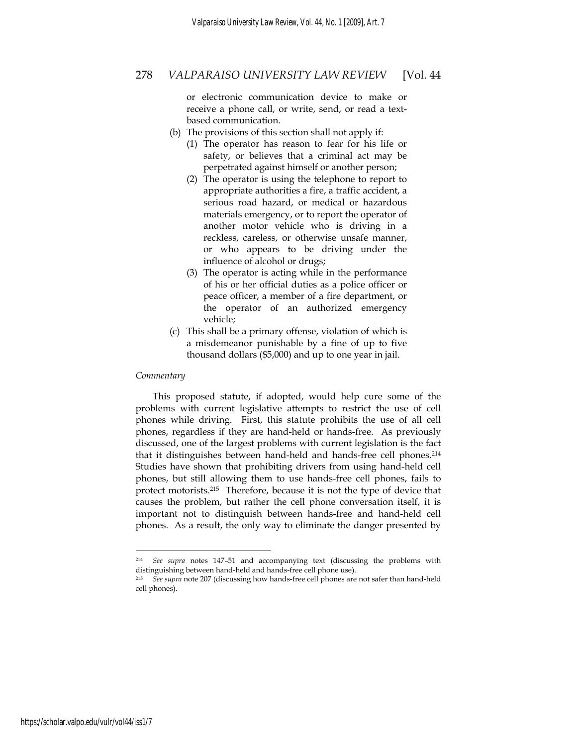or electronic communication device to make or receive a phone call, or write, send, or read a textbased communication.

- (b) The provisions of this section shall not apply if:
	- (1) The operator has reason to fear for his life or safety, or believes that a criminal act may be perpetrated against himself or another person;
	- (2) The operator is using the telephone to report to appropriate authorities a fire, a traffic accident, a serious road hazard, or medical or hazardous materials emergency, or to report the operator of another motor vehicle who is driving in a reckless, careless, or otherwise unsafe manner, or who appears to be driving under the influence of alcohol or drugs;
	- (3) The operator is acting while in the performance of his or her official duties as a police officer or peace officer, a member of a fire department, or the operator of an authorized emergency vehicle;
- (c) This shall be a primary offense, violation of which is a misdemeanor punishable by a fine of up to five thousand dollars (\$5,000) and up to one year in jail.

#### *Commentary*

 $\overline{a}$ 

This proposed statute, if adopted, would help cure some of the problems with current legislative attempts to restrict the use of cell phones while driving. First, this statute prohibits the use of all cell phones, regardless if they are hand-held or hands-free. As previously discussed, one of the largest problems with current legislation is the fact that it distinguishes between hand-held and hands-free cell phones.214 Studies have shown that prohibiting drivers from using hand-held cell phones, but still allowing them to use hands-free cell phones, fails to protect motorists.215 Therefore, because it is not the type of device that causes the problem, but rather the cell phone conversation itself, it is important not to distinguish between hands-free and hand-held cell phones. As a result, the only way to eliminate the danger presented by

<sup>214</sup> *See supra* notes 147–51 and accompanying text (discussing the problems with distinguishing between hand-held and hands-free cell phone use).

<sup>215</sup> *See supra* note 207 (discussing how hands-free cell phones are not safer than hand-held cell phones).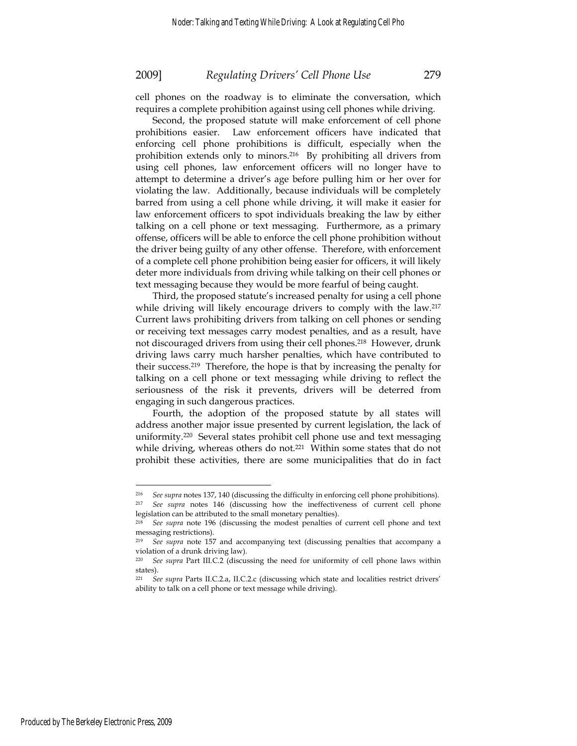cell phones on the roadway is to eliminate the conversation, which requires a complete prohibition against using cell phones while driving.

Second, the proposed statute will make enforcement of cell phone prohibitions easier. Law enforcement officers have indicated that enforcing cell phone prohibitions is difficult, especially when the prohibition extends only to minors.216 By prohibiting all drivers from using cell phones, law enforcement officers will no longer have to attempt to determine a driver's age before pulling him or her over for violating the law. Additionally, because individuals will be completely barred from using a cell phone while driving, it will make it easier for law enforcement officers to spot individuals breaking the law by either talking on a cell phone or text messaging. Furthermore, as a primary offense, officers will be able to enforce the cell phone prohibition without the driver being guilty of any other offense. Therefore, with enforcement of a complete cell phone prohibition being easier for officers, it will likely deter more individuals from driving while talking on their cell phones or text messaging because they would be more fearful of being caught.

Third, the proposed statute's increased penalty for using a cell phone while driving will likely encourage drivers to comply with the law.217 Current laws prohibiting drivers from talking on cell phones or sending or receiving text messages carry modest penalties, and as a result, have not discouraged drivers from using their cell phones.<sup>218</sup> However, drunk driving laws carry much harsher penalties, which have contributed to their success.219 Therefore, the hope is that by increasing the penalty for talking on a cell phone or text messaging while driving to reflect the seriousness of the risk it prevents, drivers will be deterred from engaging in such dangerous practices.

Fourth, the adoption of the proposed statute by all states will address another major issue presented by current legislation, the lack of uniformity.220 Several states prohibit cell phone use and text messaging while driving, whereas others do not.<sup>221</sup> Within some states that do not prohibit these activities, there are some municipalities that do in fact

legislation can be attributed to the small monetary penalties). <sup>218</sup> *See supra* note 196 (discussing the modest penalties of current cell phone and text

<sup>216</sup> *See supra* notes 137, 140 (discussing the difficulty in enforcing cell phone prohibitions). <sup>217</sup> *See supra* notes 146 (discussing how the ineffectiveness of current cell phone

messaging restrictions).

<sup>219</sup> *See supra* note 157 and accompanying text (discussing penalties that accompany a violation of a drunk driving law).

<sup>220</sup> *See supra* Part III.C.2 (discussing the need for uniformity of cell phone laws within states).

<sup>221</sup> *See supra* Parts II.C.2.a, II.C.2.c (discussing which state and localities restrict drivers' ability to talk on a cell phone or text message while driving).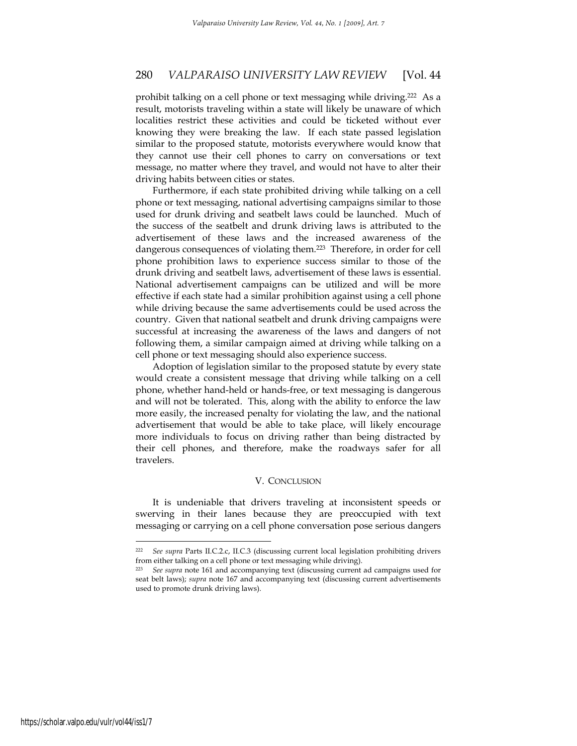prohibit talking on a cell phone or text messaging while driving.222 As a result, motorists traveling within a state will likely be unaware of which localities restrict these activities and could be ticketed without ever knowing they were breaking the law. If each state passed legislation similar to the proposed statute, motorists everywhere would know that they cannot use their cell phones to carry on conversations or text message, no matter where they travel, and would not have to alter their driving habits between cities or states.

Furthermore, if each state prohibited driving while talking on a cell phone or text messaging, national advertising campaigns similar to those used for drunk driving and seatbelt laws could be launched. Much of the success of the seatbelt and drunk driving laws is attributed to the advertisement of these laws and the increased awareness of the dangerous consequences of violating them.223 Therefore, in order for cell phone prohibition laws to experience success similar to those of the drunk driving and seatbelt laws, advertisement of these laws is essential. National advertisement campaigns can be utilized and will be more effective if each state had a similar prohibition against using a cell phone while driving because the same advertisements could be used across the country. Given that national seatbelt and drunk driving campaigns were successful at increasing the awareness of the laws and dangers of not following them, a similar campaign aimed at driving while talking on a cell phone or text messaging should also experience success.

Adoption of legislation similar to the proposed statute by every state would create a consistent message that driving while talking on a cell phone, whether hand-held or hands-free, or text messaging is dangerous and will not be tolerated. This, along with the ability to enforce the law more easily, the increased penalty for violating the law, and the national advertisement that would be able to take place, will likely encourage more individuals to focus on driving rather than being distracted by their cell phones, and therefore, make the roadways safer for all travelers.

#### V. CONCLUSION

It is undeniable that drivers traveling at inconsistent speeds or swerving in their lanes because they are preoccupied with text messaging or carrying on a cell phone conversation pose serious dangers

<sup>222</sup> *See supra* Parts II.C.2.c, II.C.3 (discussing current local legislation prohibiting drivers from either talking on a cell phone or text messaging while driving).

<sup>223</sup> *See supra* note 161 and accompanying text (discussing current ad campaigns used for seat belt laws); *supra* note 167 and accompanying text (discussing current advertisements used to promote drunk driving laws).